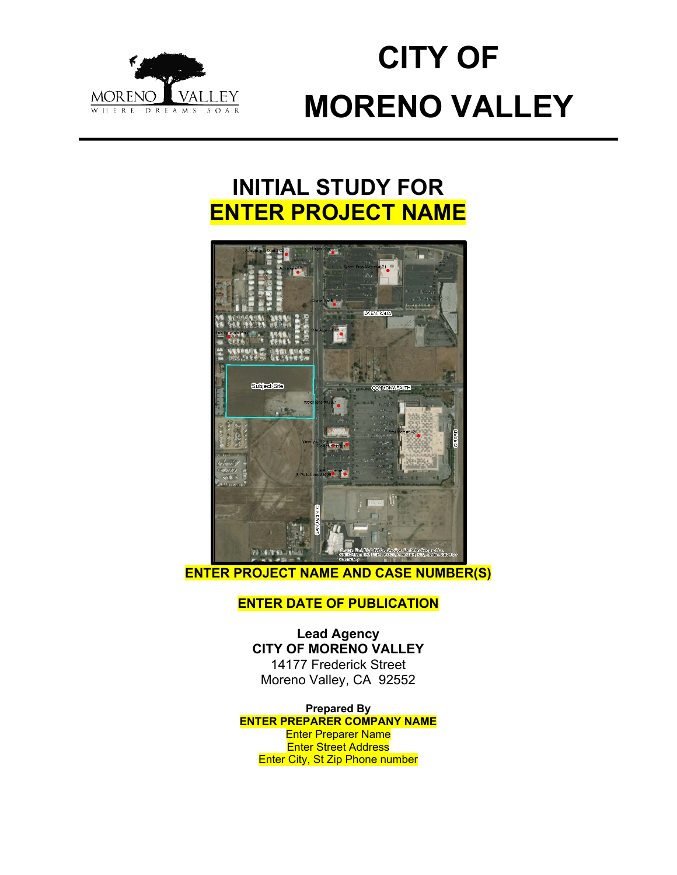

# **CITY OF MORENO VALLEY**

# **INITIAL STUDY FOR ENTER PROJECT NAME**



**ENTER PROJECT NAME AND CASE NUMBER(S)**

# **ENTER DATE OF PUBLICATION**

**Lead Agency CITY OF MORENO VALLEY** 14177 Frederick Street Moreno Valley, CA 92552

**Prepared By ENTER PREPARER COMPANY NAME** Enter Preparer Name Enter Street Address Enter City, St Zip Phone number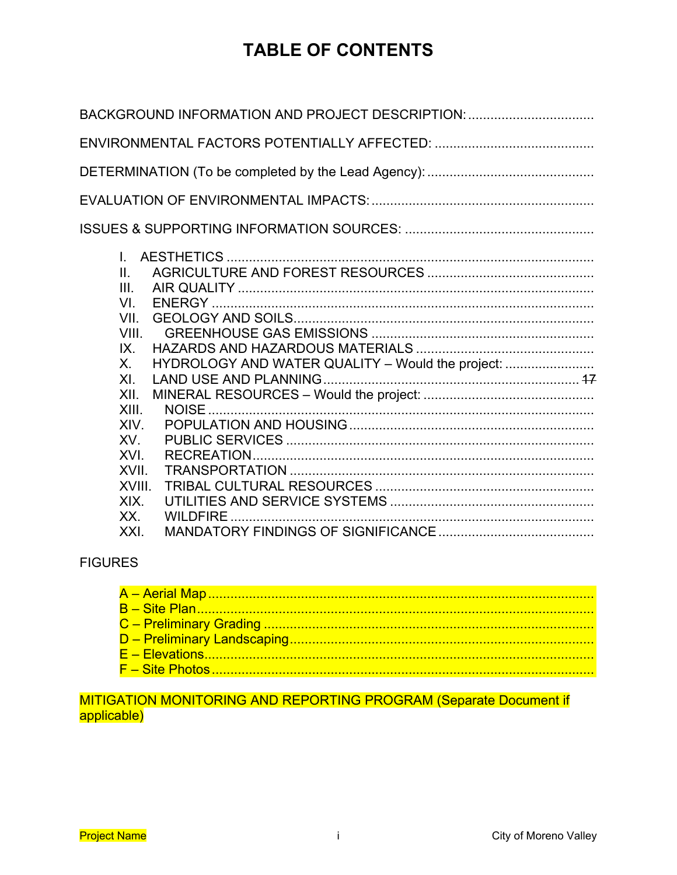# **TABLE OF CONTENTS**

| BACKGROUND INFORMATION AND PROJECT DESCRIPTION:                                                                  |
|------------------------------------------------------------------------------------------------------------------|
|                                                                                                                  |
|                                                                                                                  |
|                                                                                                                  |
|                                                                                                                  |
| L<br>II.<br>III.<br>VI.<br>VII.<br>VIII.<br>IX.<br>HYDROLOGY AND WATER QUALITY - Would the project:<br>X.<br>XI. |
| XII.<br>XIII.<br>XIV.                                                                                            |
| XV.<br>XVI.<br>XVII.<br>XVIII.                                                                                   |
| XIX.<br>WILDFIRE<br>XX.<br>XXI.                                                                                  |
|                                                                                                                  |

# **FIGURES**

# MITIGATION MONITORING AND REPORTING PROGRAM (Separate Document if applicable)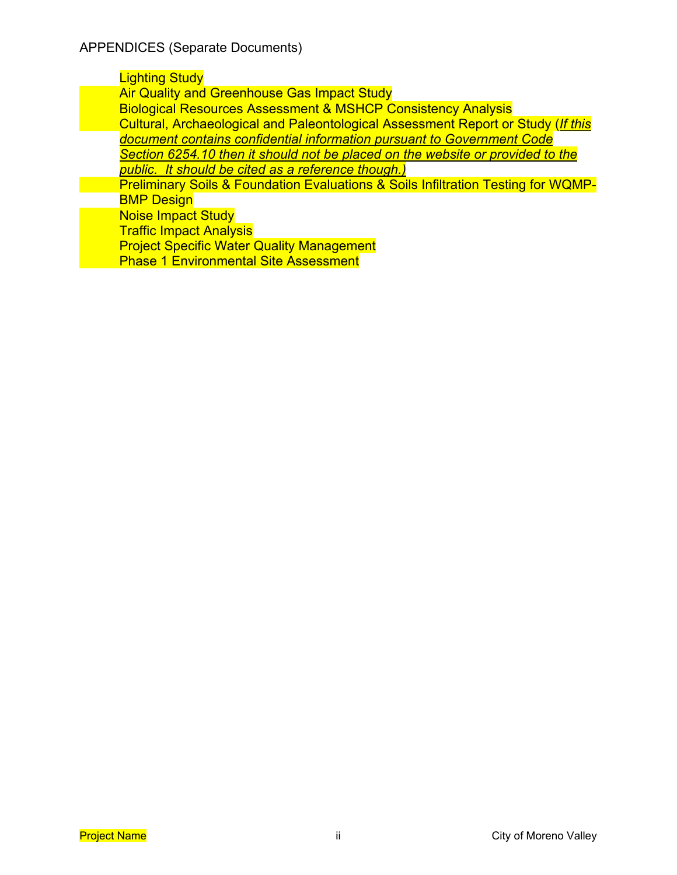## Lighting Study

**Air Quality and Greenhouse Gas Impact Study** 

Biological Resources Assessment & MSHCP Consistency Analysis Cultural, Archaeological and Paleontological Assessment Report or Study (*If this document contains confidential information pursuant to Government Code* 

*Section 6254.10 then it should not be placed on the website or provided to the public. It should be cited as a reference though.)*

Preliminary Soils & Foundation Evaluations & Soils Infiltration Testing for WQMP-BMP Design

Noise Impact Study

Traffic Impact Analysis

Project Specific Water Quality Management

Phase 1 Environmental Site Assessment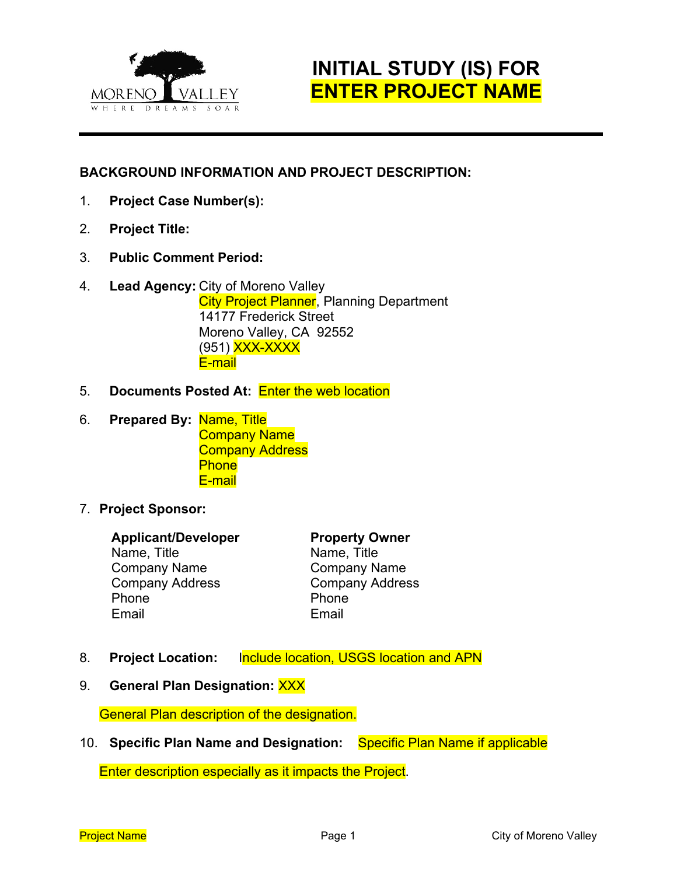

# **INITIAL STUDY (IS) FOR ENTER PROJECT NAME**

# **BACKGROUND INFORMATION AND PROJECT DESCRIPTION:**

- 1. **Project Case Number(s):**
- 2. **Project Title:**
- 3. **Public Comment Period:**
- 4. **Lead Agency:** City of Moreno Valley **City Project Planner, Planning Department** 14177 Frederick Street Moreno Valley, CA 92552 (951) XXX-XXXX E-mail
- 5. **Documents Posted At:** Enter the web location
- 6. **Prepared By:** Name, Title Company Name Company Address **Phone** E-mail
- 7. **Project Sponsor:**

#### **Applicant/Developer Property Owner**

Name, Title Name, Title Company Name Company Name Company Address Company Address Phone **Phone** Email Email

- 8. **Project Location:** Include location, USGS location and APN
- 9. **General Plan Designation:** XXX

General Plan description of the designation.

10. **Specific Plan Name and Designation:** Specific Plan Name if applicable

Enter description especially as it impacts the Project.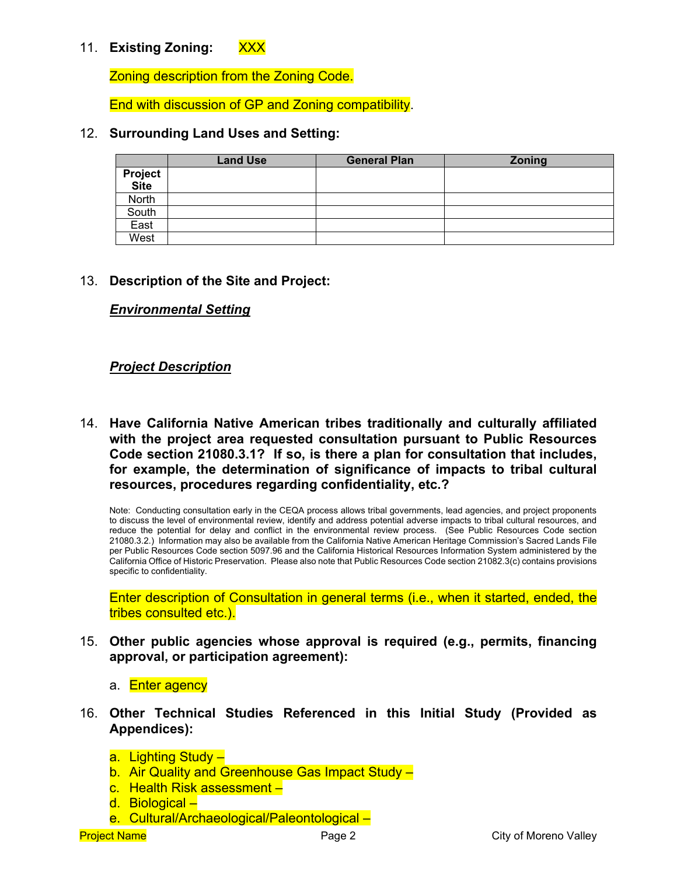# 11. **Existing Zoning:** XXX

Zoning description from the Zoning Code.

End with discussion of GP and Zoning compatibility.

#### 12. **Surrounding Land Uses and Setting:**

|                 | <b>Land Use</b> | <b>General Plan</b> | Zoning |
|-----------------|-----------------|---------------------|--------|
| Project<br>Site |                 |                     |        |
|                 |                 |                     |        |
| North           |                 |                     |        |
| South           |                 |                     |        |
| East            |                 |                     |        |
| West            |                 |                     |        |

#### 13. **Description of the Site and Project:**

#### *Environmental Setting*

#### *Project Description*

14. **Have California Native American tribes traditionally and culturally affiliated with the project area requested consultation pursuant to Public Resources Code section 21080.3.1? If so, is there a plan for consultation that includes, for example, the determination of significance of impacts to tribal cultural resources, procedures regarding confidentiality, etc.?**

Note: Conducting consultation early in the CEQA process allows tribal governments, lead agencies, and project proponents to discuss the level of environmental review, identify and address potential adverse impacts to tribal cultural resources, and reduce the potential for delay and conflict in the environmental review process. (See Public Resources Code section 21080.3.2.) Information may also be available from the California Native American Heritage Commission's Sacred Lands File per Public Resources Code section 5097.96 and the California Historical Resources Information System administered by the California Office of Historic Preservation. Please also note that Public Resources Code section 21082.3(c) contains provisions specific to confidentiality.

Enter description of Consultation in general terms (i.e., when it started, ended, the tribes consulted etc.).

- 15. **Other public agencies whose approval is required (e.g., permits, financing approval, or participation agreement):**
	- a. Enter agency
- 16. **Other Technical Studies Referenced in this Initial Study (Provided as Appendices):**
	- a. Lighting Study –
	- b. Air Quality and Greenhouse Gas Impact Study -
	- c. Health Risk assessment –
	- d. Biological –
	- e. Cultural/Archaeological/Paleontological –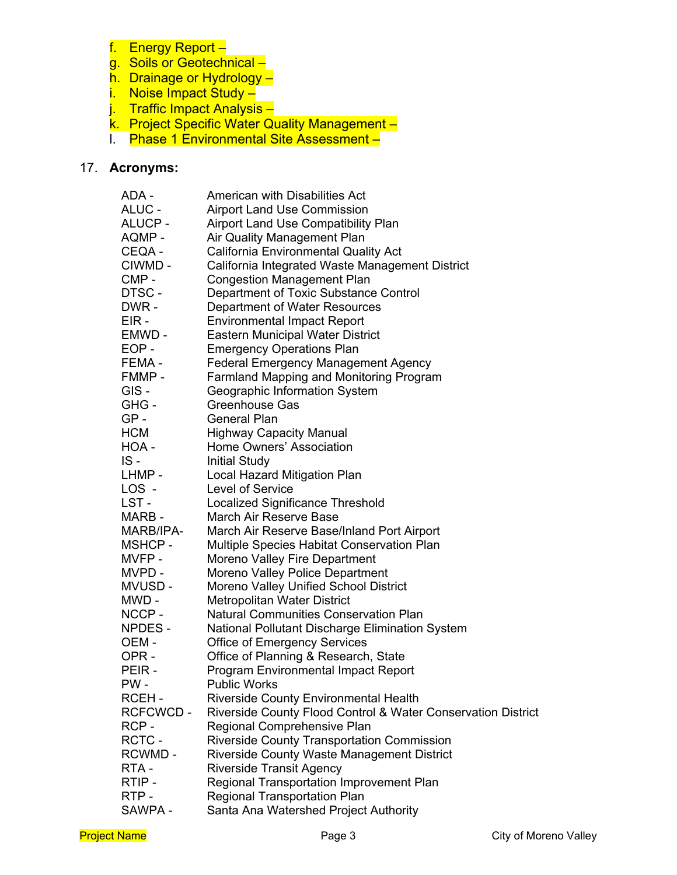- f. Energy Report –
- g. Soils or Geotechnical –
- h. Drainage or Hydrology –
- i. Noise Impact Study –
- j. Traffic Impact Analysis –
- k. Project Specific Water Quality Management –
- l. Phase 1 Environmental Site Assessment –

## 17. **Acronyms:**

| ADA -            | American with Disabilities Act                               |
|------------------|--------------------------------------------------------------|
| ALUC -           | <b>Airport Land Use Commission</b>                           |
| ALUCP-           | Airport Land Use Compatibility Plan                          |
| AQMP -           | Air Quality Management Plan                                  |
| CEQA -           | California Environmental Quality Act                         |
| CIWMD -          | California Integrated Waste Management District              |
| CMP-             | <b>Congestion Management Plan</b>                            |
| DTSC-            | Department of Toxic Substance Control                        |
| DWR-             | Department of Water Resources                                |
| EIR-             | <b>Environmental Impact Report</b>                           |
| EMWD -           | <b>Eastern Municipal Water District</b>                      |
| EOP-             | <b>Emergency Operations Plan</b>                             |
| FEMA-            | <b>Federal Emergency Management Agency</b>                   |
| FMMP-            | Farmland Mapping and Monitoring Program                      |
| GIS-             | Geographic Information System                                |
| GHG-             | <b>Greenhouse Gas</b>                                        |
| $GP -$           | <b>General Plan</b>                                          |
| <b>HCM</b>       | <b>Highway Capacity Manual</b>                               |
| HOA -            | Home Owners' Association                                     |
| $IS -$           | <b>Initial Study</b>                                         |
| LHMP -           | Local Hazard Mitigation Plan                                 |
| LOS -            | <b>Level of Service</b>                                      |
| LST -            | Localized Significance Threshold                             |
| MARB-            | March Air Reserve Base                                       |
| MARB/IPA-        | March Air Reserve Base/Inland Port Airport                   |
| MSHCP-           | Multiple Species Habitat Conservation Plan                   |
| MVFP-            | Moreno Valley Fire Department                                |
| MVPD -           | Moreno Valley Police Department                              |
| MVUSD-           | Moreno Valley Unified School District                        |
| MWD -            | <b>Metropolitan Water District</b>                           |
| NCCP-            | <b>Natural Communities Conservation Plan</b>                 |
| NPDES-           | National Pollutant Discharge Elimination System              |
| OEM-             | <b>Office of Emergency Services</b>                          |
| OPR-             | Office of Planning & Research, State                         |
| PEIR-            | <b>Program Environmental Impact Report</b>                   |
| PW -             | Public Works                                                 |
| RCEH-            | <b>Riverside County Environmental Health</b>                 |
| <b>RCFCWCD -</b> | Riverside County Flood Control & Water Conservation District |
| RCP-             | Regional Comprehensive Plan                                  |
| RCTC-            | <b>Riverside County Transportation Commission</b>            |
| RCWMD -          | Riverside County Waste Management District                   |
| RTA-             | <b>Riverside Transit Agency</b>                              |
| RTIP-            | Regional Transportation Improvement Plan                     |
| RTP-             | <b>Regional Transportation Plan</b>                          |
| SAWPA -          | Santa Ana Watershed Project Authority                        |
|                  |                                                              |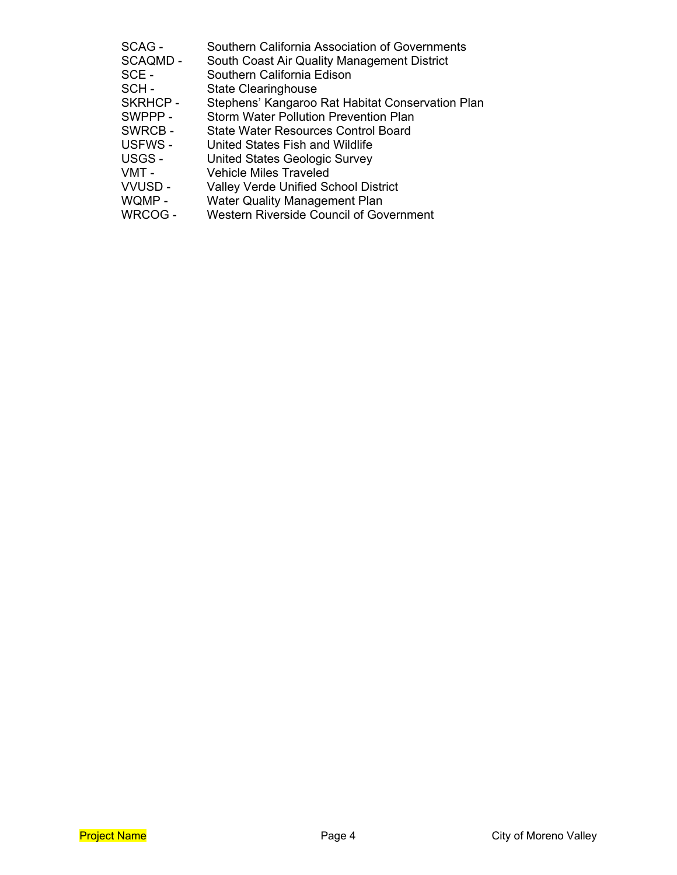| SCAG -         | Southern California Association of Governments   |
|----------------|--------------------------------------------------|
| SCAQMD -       | South Coast Air Quality Management District      |
| SCE -          | Southern California Edison                       |
| SCH-           | <b>State Clearinghouse</b>                       |
| <b>SKRHCP-</b> | Stephens' Kangaroo Rat Habitat Conservation Plan |
| SWPPP-         | <b>Storm Water Pollution Prevention Plan</b>     |
| SWRCB-         | State Water Resources Control Board              |
| USFWS-         | United States Fish and Wildlife                  |
| USGS -         | <b>United States Geologic Survey</b>             |
| VMT -          | <b>Vehicle Miles Traveled</b>                    |
| <b>VVUSD-</b>  | <b>Valley Verde Unified School District</b>      |
| WQMP-          | <b>Water Quality Management Plan</b>             |
| WRCOG -        | <b>Western Riverside Council of Government</b>   |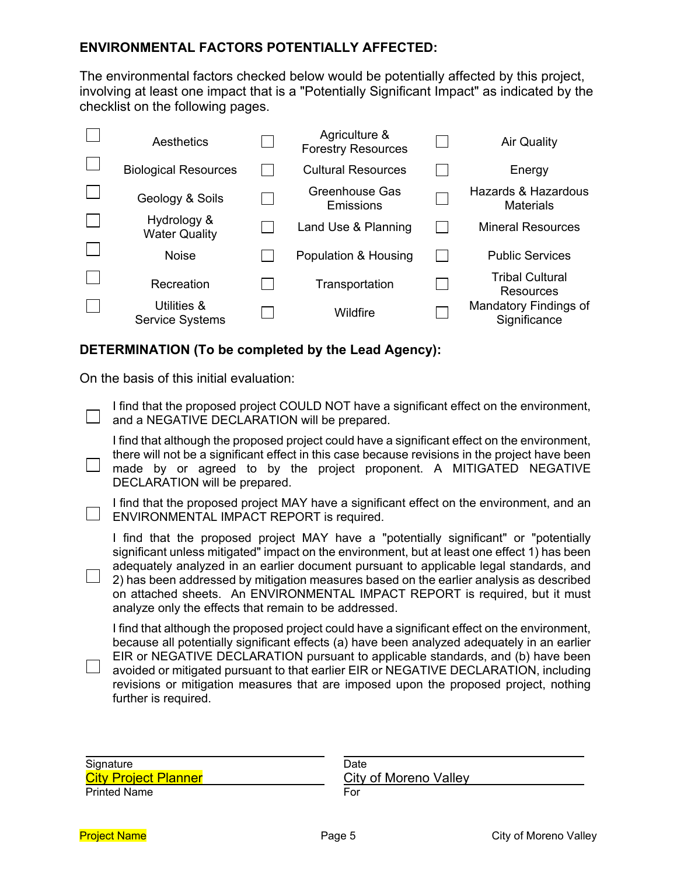## **ENVIRONMENTAL FACTORS POTENTIALLY AFFECTED:**

The environmental factors checked below would be potentially affected by this project, involving at least one impact that is a "Potentially Significant Impact" as indicated by the checklist on the following pages.

| Aesthetics                            | Agriculture &<br><b>Forestry Resources</b> | <b>Air Quality</b>                      |
|---------------------------------------|--------------------------------------------|-----------------------------------------|
| <b>Biological Resources</b>           | <b>Cultural Resources</b>                  | Energy                                  |
| Geology & Soils                       | Greenhouse Gas<br>Emissions                | Hazards & Hazardous<br><b>Materials</b> |
| Hydrology &<br><b>Water Quality</b>   | Land Use & Planning                        | <b>Mineral Resources</b>                |
| <b>Noise</b>                          | Population & Housing                       | <b>Public Services</b>                  |
| Recreation                            | Transportation                             | <b>Tribal Cultural</b><br>Resources     |
| Utilities &<br><b>Service Systems</b> | Wildfire                                   | Mandatory Findings of<br>Significance   |

## **DETERMINATION (To be completed by the Lead Agency):**

On the basis of this initial evaluation:

I find that the proposed project COULD NOT have a significant effect on the environment,  $\Box$  and a NEGATIVE DECLARATION will be prepared.

I find that although the proposed project could have a significant effect on the environment, there will not be a significant effect in this case because revisions in the project have been made by or agreed to by the project proponent. A MITIGATED NEGATIVE DECLARATION will be prepared.

I find that the proposed project MAY have a significant effect on the environment, and an  $\Box$  ENVIRONMENTAL IMPACT REPORT is required.

I find that the proposed project MAY have a "potentially significant" or "potentially significant unless mitigated" impact on the environment, but at least one effect 1) has been adequately analyzed in an earlier document pursuant to applicable legal standards, and 2) has been addressed by mitigation measures based on the earlier analysis as described on attached sheets. An ENVIRONMENTAL IMPACT REPORT is required, but it must analyze only the effects that remain to be addressed.

I find that although the proposed project could have a significant effect on the environment, because all potentially significant effects (a) have been analyzed adequately in an earlier EIR or NEGATIVE DECLARATION pursuant to applicable standards, and (b) have been  $\Box$  avoided or mitigated pursuant to that earlier EIR or NEGATIVE DECLARATION, including revisions or mitigation measures that are imposed upon the proposed project, nothing further is required.

| Signature                   | Date                  |
|-----------------------------|-----------------------|
| <b>City Project Planner</b> | City of Moreno Valley |
| <b>Printed Name</b>         | For                   |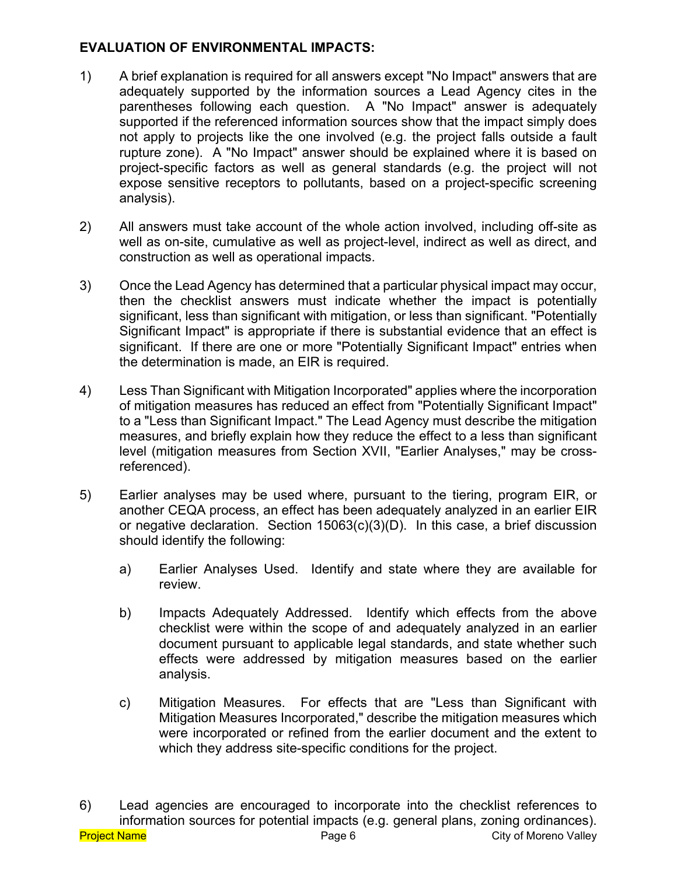# **EVALUATION OF ENVIRONMENTAL IMPACTS:**

- 1) A brief explanation is required for all answers except "No Impact" answers that are adequately supported by the information sources a Lead Agency cites in the parentheses following each question. A "No Impact" answer is adequately supported if the referenced information sources show that the impact simply does not apply to projects like the one involved (e.g. the project falls outside a fault rupture zone). A "No Impact" answer should be explained where it is based on project-specific factors as well as general standards (e.g. the project will not expose sensitive receptors to pollutants, based on a project-specific screening analysis).
- 2) All answers must take account of the whole action involved, including off-site as well as on-site, cumulative as well as project-level, indirect as well as direct, and construction as well as operational impacts.
- 3) Once the Lead Agency has determined that a particular physical impact may occur, then the checklist answers must indicate whether the impact is potentially significant, less than significant with mitigation, or less than significant. "Potentially Significant Impact" is appropriate if there is substantial evidence that an effect is significant. If there are one or more "Potentially Significant Impact" entries when the determination is made, an EIR is required.
- 4) Less Than Significant with Mitigation Incorporated" applies where the incorporation of mitigation measures has reduced an effect from "Potentially Significant Impact" to a "Less than Significant Impact." The Lead Agency must describe the mitigation measures, and briefly explain how they reduce the effect to a less than significant level (mitigation measures from Section XVII, "Earlier Analyses," may be crossreferenced).
- 5) Earlier analyses may be used where, pursuant to the tiering, program EIR, or another CEQA process, an effect has been adequately analyzed in an earlier EIR or negative declaration. Section 15063(c)(3)(D). In this case, a brief discussion should identify the following:
	- a) Earlier Analyses Used. Identify and state where they are available for review.
	- b) Impacts Adequately Addressed. Identify which effects from the above checklist were within the scope of and adequately analyzed in an earlier document pursuant to applicable legal standards, and state whether such effects were addressed by mitigation measures based on the earlier analysis.
	- c) Mitigation Measures. For effects that are "Less than Significant with Mitigation Measures Incorporated," describe the mitigation measures which were incorporated or refined from the earlier document and the extent to which they address site-specific conditions for the project.

Project Name **Project Name Page 6** Page 6 City of Moreno Valley 6) Lead agencies are encouraged to incorporate into the checklist references to information sources for potential impacts (e.g. general plans, zoning ordinances).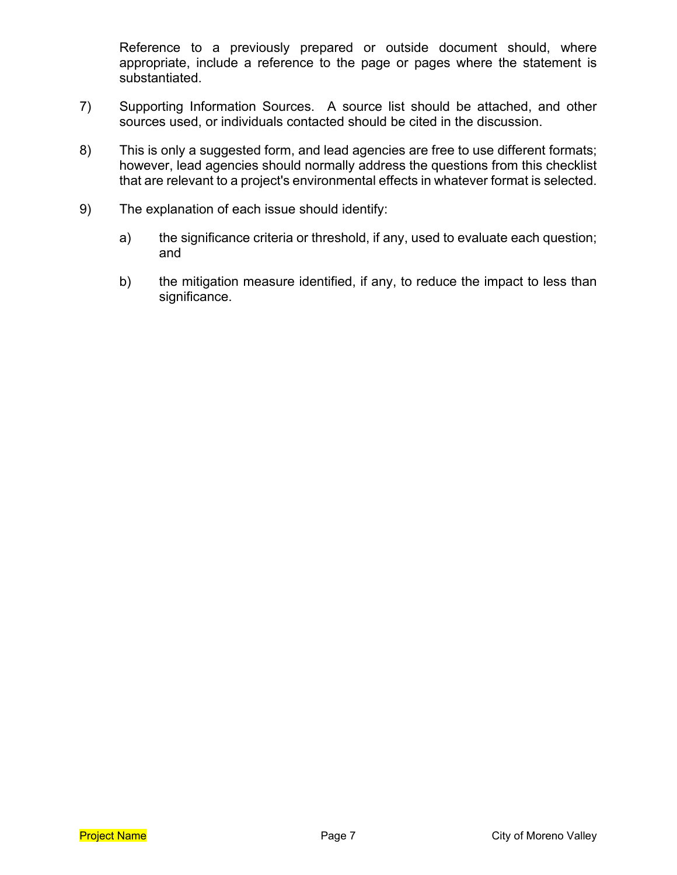Reference to a previously prepared or outside document should, where appropriate, include a reference to the page or pages where the statement is substantiated.

- 7) Supporting Information Sources. A source list should be attached, and other sources used, or individuals contacted should be cited in the discussion.
- 8) This is only a suggested form, and lead agencies are free to use different formats; however, lead agencies should normally address the questions from this checklist that are relevant to a project's environmental effects in whatever format is selected.
- 9) The explanation of each issue should identify:
	- a) the significance criteria or threshold, if any, used to evaluate each question; and
	- b) the mitigation measure identified, if any, to reduce the impact to less than significance.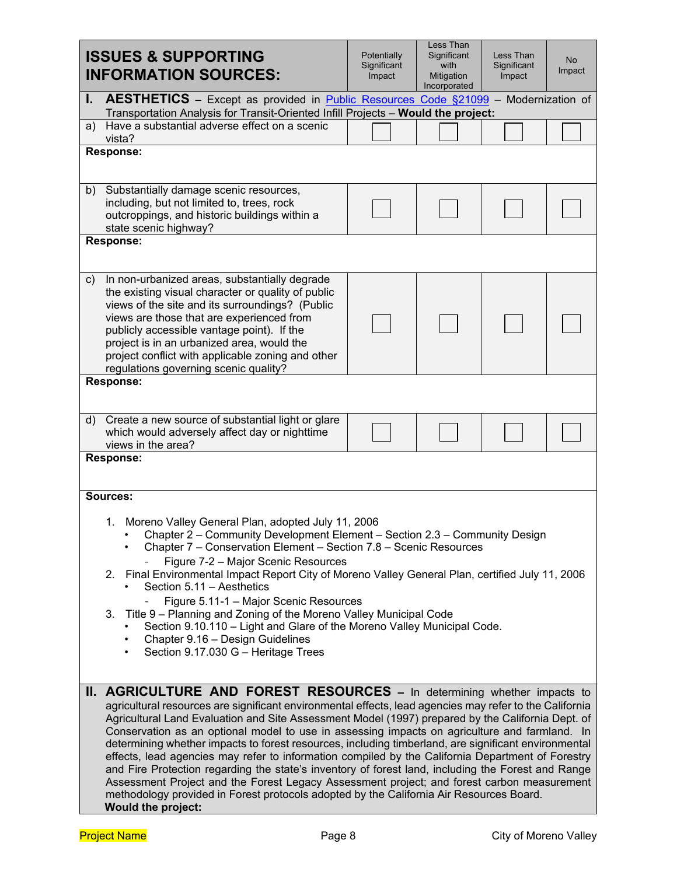|                                                                                                                                                                                                                                                                                                                                                                                                                                                                                                                                                                                                                                                                                                             | <b>ISSUES &amp; SUPPORTING</b><br><b>INFORMATION SOURCES:</b>                                                                                                                                                                                                                                                                                                                                                                                                                                                                                                                                                                                                                                                                                                                                                                                                                                                                             | Potentially<br>Significant<br>Impact | Less Than<br>Significant<br>with<br>Mitigation<br>Incorporated | Less Than<br>Significant<br>Impact | <b>No</b><br>Impact |  |  |
|-------------------------------------------------------------------------------------------------------------------------------------------------------------------------------------------------------------------------------------------------------------------------------------------------------------------------------------------------------------------------------------------------------------------------------------------------------------------------------------------------------------------------------------------------------------------------------------------------------------------------------------------------------------------------------------------------------------|-------------------------------------------------------------------------------------------------------------------------------------------------------------------------------------------------------------------------------------------------------------------------------------------------------------------------------------------------------------------------------------------------------------------------------------------------------------------------------------------------------------------------------------------------------------------------------------------------------------------------------------------------------------------------------------------------------------------------------------------------------------------------------------------------------------------------------------------------------------------------------------------------------------------------------------------|--------------------------------------|----------------------------------------------------------------|------------------------------------|---------------------|--|--|
| I.                                                                                                                                                                                                                                                                                                                                                                                                                                                                                                                                                                                                                                                                                                          | <b>AESTHETICS</b> – Except as provided in <b>Public Resources Code <math>\S21099</math></b> – Modernization of<br>Transportation Analysis for Transit-Oriented Infill Projects - Would the project:                                                                                                                                                                                                                                                                                                                                                                                                                                                                                                                                                                                                                                                                                                                                       |                                      |                                                                |                                    |                     |  |  |
| a)                                                                                                                                                                                                                                                                                                                                                                                                                                                                                                                                                                                                                                                                                                          | Have a substantial adverse effect on a scenic<br>vista?                                                                                                                                                                                                                                                                                                                                                                                                                                                                                                                                                                                                                                                                                                                                                                                                                                                                                   |                                      |                                                                |                                    |                     |  |  |
|                                                                                                                                                                                                                                                                                                                                                                                                                                                                                                                                                                                                                                                                                                             | <b>Response:</b>                                                                                                                                                                                                                                                                                                                                                                                                                                                                                                                                                                                                                                                                                                                                                                                                                                                                                                                          |                                      |                                                                |                                    |                     |  |  |
| b)                                                                                                                                                                                                                                                                                                                                                                                                                                                                                                                                                                                                                                                                                                          | Substantially damage scenic resources,<br>including, but not limited to, trees, rock<br>outcroppings, and historic buildings within a<br>state scenic highway?                                                                                                                                                                                                                                                                                                                                                                                                                                                                                                                                                                                                                                                                                                                                                                            |                                      |                                                                |                                    |                     |  |  |
|                                                                                                                                                                                                                                                                                                                                                                                                                                                                                                                                                                                                                                                                                                             | <b>Response:</b>                                                                                                                                                                                                                                                                                                                                                                                                                                                                                                                                                                                                                                                                                                                                                                                                                                                                                                                          |                                      |                                                                |                                    |                     |  |  |
| C)                                                                                                                                                                                                                                                                                                                                                                                                                                                                                                                                                                                                                                                                                                          | In non-urbanized areas, substantially degrade<br>the existing visual character or quality of public<br>views of the site and its surroundings? (Public<br>views are those that are experienced from<br>publicly accessible vantage point). If the<br>project is in an urbanized area, would the<br>project conflict with applicable zoning and other<br>regulations governing scenic quality?                                                                                                                                                                                                                                                                                                                                                                                                                                                                                                                                             |                                      |                                                                |                                    |                     |  |  |
|                                                                                                                                                                                                                                                                                                                                                                                                                                                                                                                                                                                                                                                                                                             | <b>Response:</b>                                                                                                                                                                                                                                                                                                                                                                                                                                                                                                                                                                                                                                                                                                                                                                                                                                                                                                                          |                                      |                                                                |                                    |                     |  |  |
| d)                                                                                                                                                                                                                                                                                                                                                                                                                                                                                                                                                                                                                                                                                                          | Create a new source of substantial light or glare<br>which would adversely affect day or nighttime<br>views in the area?                                                                                                                                                                                                                                                                                                                                                                                                                                                                                                                                                                                                                                                                                                                                                                                                                  |                                      |                                                                |                                    |                     |  |  |
| <b>Response:</b><br>Sources:<br>1. Moreno Valley General Plan, adopted July 11, 2006<br>• Chapter 2 – Community Development Element – Section 2.3 – Community Design<br>Chapter 7 - Conservation Element - Section 7.8 - Scenic Resources<br>Figure 7-2 - Major Scenic Resources<br>2. Final Environmental Impact Report City of Moreno Valley General Plan, certified July 11, 2006<br>Section 5.11 - Aesthetics<br>Figure 5.11-1 - Major Scenic Resources<br>3. Title 9 - Planning and Zoning of the Moreno Valley Municipal Code<br>Section 9.10.110 - Light and Glare of the Moreno Valley Municipal Code.<br>Chapter 9.16 - Design Guidelines<br>٠<br>Section 9.17.030 G - Heritage Trees<br>$\bullet$ |                                                                                                                                                                                                                                                                                                                                                                                                                                                                                                                                                                                                                                                                                                                                                                                                                                                                                                                                           |                                      |                                                                |                                    |                     |  |  |
|                                                                                                                                                                                                                                                                                                                                                                                                                                                                                                                                                                                                                                                                                                             |                                                                                                                                                                                                                                                                                                                                                                                                                                                                                                                                                                                                                                                                                                                                                                                                                                                                                                                                           |                                      |                                                                |                                    |                     |  |  |
|                                                                                                                                                                                                                                                                                                                                                                                                                                                                                                                                                                                                                                                                                                             | <b>II. AGRICULTURE AND FOREST RESOURCES - In determining whether impacts to</b><br>agricultural resources are significant environmental effects, lead agencies may refer to the California<br>Agricultural Land Evaluation and Site Assessment Model (1997) prepared by the California Dept. of<br>Conservation as an optional model to use in assessing impacts on agriculture and farmland. In<br>determining whether impacts to forest resources, including timberland, are significant environmental<br>effects, lead agencies may refer to information compiled by the California Department of Forestry<br>and Fire Protection regarding the state's inventory of forest land, including the Forest and Range<br>Assessment Project and the Forest Legacy Assessment project; and forest carbon measurement<br>methodology provided in Forest protocols adopted by the California Air Resources Board.<br><b>Would the project:</b> |                                      |                                                                |                                    |                     |  |  |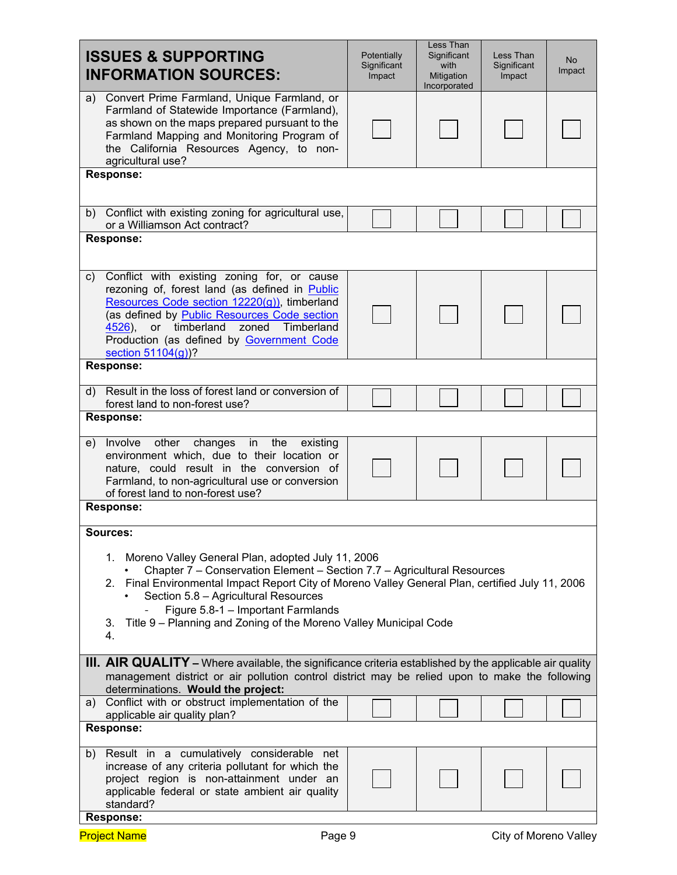| <b>ISSUES &amp; SUPPORTING</b><br><b>INFORMATION SOURCES:</b>                                                                                                                                                                                                                                                                                                                                                  | Potentially<br>Significant<br>Impact | Less Than<br>Significant<br>with<br>Mitigation<br>Incorporated | Less Than<br>Significant<br>Impact | <b>No</b><br>Impact |  |  |
|----------------------------------------------------------------------------------------------------------------------------------------------------------------------------------------------------------------------------------------------------------------------------------------------------------------------------------------------------------------------------------------------------------------|--------------------------------------|----------------------------------------------------------------|------------------------------------|---------------------|--|--|
| Convert Prime Farmland, Unique Farmland, or<br>a)<br>Farmland of Statewide Importance (Farmland),<br>as shown on the maps prepared pursuant to the<br>Farmland Mapping and Monitoring Program of<br>the California Resources Agency, to non-<br>agricultural use?                                                                                                                                              |                                      |                                                                |                                    |                     |  |  |
| <b>Response:</b>                                                                                                                                                                                                                                                                                                                                                                                               |                                      |                                                                |                                    |                     |  |  |
| Conflict with existing zoning for agricultural use,<br>b)<br>or a Williamson Act contract?<br><b>Response:</b>                                                                                                                                                                                                                                                                                                 |                                      |                                                                |                                    |                     |  |  |
| Conflict with existing zoning for, or cause<br>c)<br>rezoning of, forest land (as defined in Public<br>Resources Code section 12220(g)), timberland<br>(as defined by Public Resources Code section<br>or timberland zoned<br>Timberland<br>$4526$ ),<br>Production (as defined by Government Code<br>section $51104(q)$ ?                                                                                     |                                      |                                                                |                                    |                     |  |  |
| <b>Response:</b><br>Result in the loss of forest land or conversion of<br>$\mathsf{d}$                                                                                                                                                                                                                                                                                                                         |                                      |                                                                |                                    |                     |  |  |
| forest land to non-forest use?<br><b>Response:</b>                                                                                                                                                                                                                                                                                                                                                             |                                      |                                                                |                                    |                     |  |  |
| Involve<br>in<br>the<br>other<br>changes<br>existing<br>e)<br>environment which, due to their location or<br>nature, could result in the conversion of<br>Farmland, to non-agricultural use or conversion<br>of forest land to non-forest use?                                                                                                                                                                 |                                      |                                                                |                                    |                     |  |  |
| <b>Response:</b>                                                                                                                                                                                                                                                                                                                                                                                               |                                      |                                                                |                                    |                     |  |  |
| Sources:<br>1. Moreno Valley General Plan, adopted July 11, 2006<br>Chapter 7 - Conservation Element - Section 7.7 - Agricultural Resources<br>2. Final Environmental Impact Report City of Moreno Valley General Plan, certified July 11, 2006<br>Section 5.8 - Agricultural Resources<br>Figure 5.8-1 - Important Farmlands<br>Title 9 - Planning and Zoning of the Moreno Valley Municipal Code<br>3.<br>4. |                                      |                                                                |                                    |                     |  |  |
| III. AIR QUALITY - Where available, the significance criteria established by the applicable air quality<br>management district or air pollution control district may be relied upon to make the following<br>determinations. Would the project:                                                                                                                                                                |                                      |                                                                |                                    |                     |  |  |
| a) Conflict with or obstruct implementation of the<br>applicable air quality plan?<br><b>Response:</b>                                                                                                                                                                                                                                                                                                         |                                      |                                                                |                                    |                     |  |  |
| b) Result in a cumulatively considerable net<br>increase of any criteria pollutant for which the<br>project region is non-attainment under an<br>applicable federal or state ambient air quality<br>standard?<br><b>Response:</b>                                                                                                                                                                              |                                      |                                                                |                                    |                     |  |  |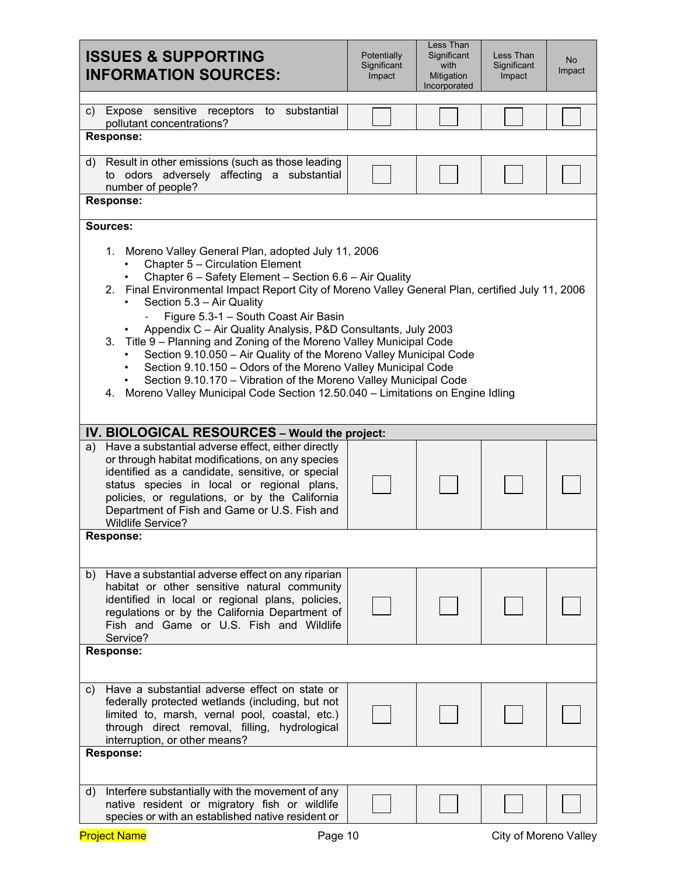| <b>ISSUES &amp; SUPPORTING</b><br><b>INFORMATION SOURCES:</b>                                                                                                                                                                                                                                                                                                                                                                                                                                                                                                                                                                                                                                                                                                                        | Potentially<br>Significant<br>Impact | Less Than<br>Significant<br>with<br>Mitigation<br>Incorporated | Less Than<br>Significant<br>Impact | <b>No</b><br>Impact |  |  |
|--------------------------------------------------------------------------------------------------------------------------------------------------------------------------------------------------------------------------------------------------------------------------------------------------------------------------------------------------------------------------------------------------------------------------------------------------------------------------------------------------------------------------------------------------------------------------------------------------------------------------------------------------------------------------------------------------------------------------------------------------------------------------------------|--------------------------------------|----------------------------------------------------------------|------------------------------------|---------------------|--|--|
| sensitive receptors<br>substantial<br>Expose<br>$\mathsf{c}$ )<br>to<br>pollutant concentrations?                                                                                                                                                                                                                                                                                                                                                                                                                                                                                                                                                                                                                                                                                    |                                      |                                                                |                                    |                     |  |  |
| <b>Response:</b><br>Result in other emissions (such as those leading<br>d)<br>to odors adversely affecting a substantial<br>number of people?                                                                                                                                                                                                                                                                                                                                                                                                                                                                                                                                                                                                                                        |                                      |                                                                |                                    |                     |  |  |
| <b>Response:</b><br>Sources:                                                                                                                                                                                                                                                                                                                                                                                                                                                                                                                                                                                                                                                                                                                                                         |                                      |                                                                |                                    |                     |  |  |
| 1. Moreno Valley General Plan, adopted July 11, 2006<br>Chapter 5 - Circulation Element<br>Chapter 6 - Safety Element - Section 6.6 - Air Quality<br>2. Final Environmental Impact Report City of Moreno Valley General Plan, certified July 11, 2006<br>Section 5.3 - Air Quality<br>Figure 5.3-1 - South Coast Air Basin<br>Appendix C - Air Quality Analysis, P&D Consultants, July 2003<br>Title 9 - Planning and Zoning of the Moreno Valley Municipal Code<br>3.<br>Section 9.10.050 - Air Quality of the Moreno Valley Municipal Code<br>Section 9.10.150 - Odors of the Moreno Valley Municipal Code<br>$\bullet$<br>Section 9.10.170 - Vibration of the Moreno Valley Municipal Code<br>Moreno Valley Municipal Code Section 12.50.040 - Limitations on Engine Idling<br>4. |                                      |                                                                |                                    |                     |  |  |
| IV. BIOLOGICAL RESOURCES - Would the project:                                                                                                                                                                                                                                                                                                                                                                                                                                                                                                                                                                                                                                                                                                                                        |                                      |                                                                |                                    |                     |  |  |
| Have a substantial adverse effect, either directly<br>a)<br>or through habitat modifications, on any species<br>identified as a candidate, sensitive, or special<br>status species in local or regional plans,<br>policies, or regulations, or by the California<br>Department of Fish and Game or U.S. Fish and<br><b>Wildlife Service?</b>                                                                                                                                                                                                                                                                                                                                                                                                                                         |                                      |                                                                |                                    |                     |  |  |
| Response:                                                                                                                                                                                                                                                                                                                                                                                                                                                                                                                                                                                                                                                                                                                                                                            |                                      |                                                                |                                    |                     |  |  |
| Have a substantial adverse effect on any riparian<br>b)<br>habitat or other sensitive natural community<br>identified in local or regional plans, policies,<br>regulations or by the California Department of<br>Fish and Game or U.S. Fish and Wildlife<br>Service?                                                                                                                                                                                                                                                                                                                                                                                                                                                                                                                 |                                      |                                                                |                                    |                     |  |  |
| <b>Response:</b>                                                                                                                                                                                                                                                                                                                                                                                                                                                                                                                                                                                                                                                                                                                                                                     |                                      |                                                                |                                    |                     |  |  |
|                                                                                                                                                                                                                                                                                                                                                                                                                                                                                                                                                                                                                                                                                                                                                                                      |                                      |                                                                |                                    |                     |  |  |
| Have a substantial adverse effect on state or<br>C)<br>federally protected wetlands (including, but not<br>limited to, marsh, vernal pool, coastal, etc.)<br>through direct removal, filling, hydrological<br>interruption, or other means?                                                                                                                                                                                                                                                                                                                                                                                                                                                                                                                                          |                                      |                                                                |                                    |                     |  |  |
| <b>Response:</b>                                                                                                                                                                                                                                                                                                                                                                                                                                                                                                                                                                                                                                                                                                                                                                     |                                      |                                                                |                                    |                     |  |  |
| Interfere substantially with the movement of any<br>d)<br>native resident or migratory fish or wildlife<br>species or with an established native resident or                                                                                                                                                                                                                                                                                                                                                                                                                                                                                                                                                                                                                         |                                      |                                                                |                                    |                     |  |  |
| <b>Project Name</b><br>Page 10                                                                                                                                                                                                                                                                                                                                                                                                                                                                                                                                                                                                                                                                                                                                                       |                                      |                                                                | City of Moreno Valley              |                     |  |  |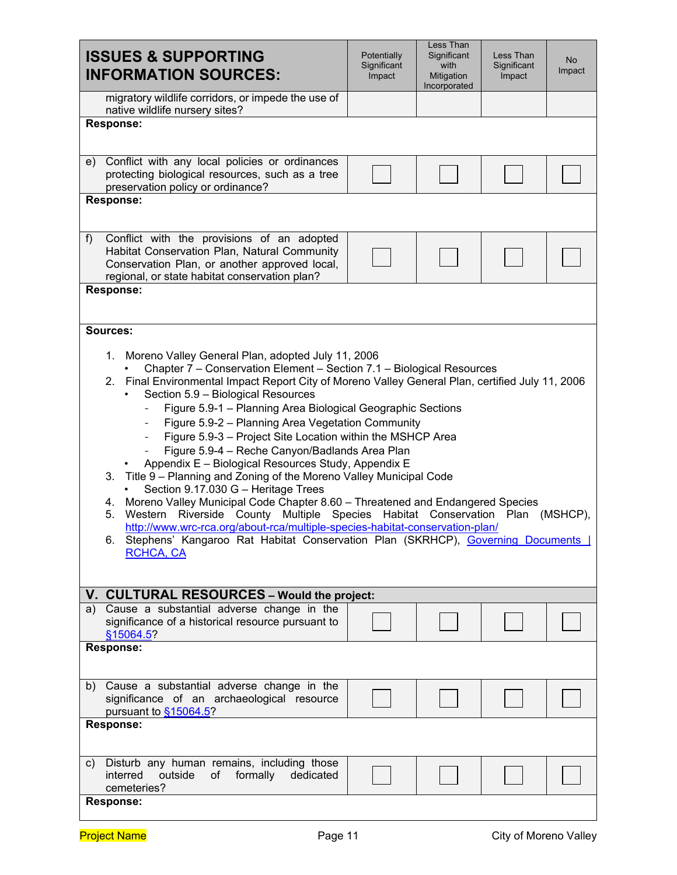| <b>ISSUES &amp; SUPPORTING</b><br><b>INFORMATION SOURCES:</b>                                                                                                                                         | Potentially<br>Significant<br>Impact | Less Than<br>Significant<br>with<br>Mitigation<br>Incorporated | Less Than<br>Significant<br>Impact | <b>No</b><br>Impact |  |  |
|-------------------------------------------------------------------------------------------------------------------------------------------------------------------------------------------------------|--------------------------------------|----------------------------------------------------------------|------------------------------------|---------------------|--|--|
| migratory wildlife corridors, or impede the use of<br>native wildlife nursery sites?                                                                                                                  |                                      |                                                                |                                    |                     |  |  |
| <b>Response:</b>                                                                                                                                                                                      |                                      |                                                                |                                    |                     |  |  |
| Conflict with any local policies or ordinances<br>e)                                                                                                                                                  |                                      |                                                                |                                    |                     |  |  |
| protecting biological resources, such as a tree<br>preservation policy or ordinance?                                                                                                                  |                                      |                                                                |                                    |                     |  |  |
| <b>Response:</b>                                                                                                                                                                                      |                                      |                                                                |                                    |                     |  |  |
| Conflict with the provisions of an adopted<br>$f$ )<br>Habitat Conservation Plan, Natural Community<br>Conservation Plan, or another approved local,<br>regional, or state habitat conservation plan? |                                      |                                                                |                                    |                     |  |  |
| <b>Response:</b>                                                                                                                                                                                      |                                      |                                                                |                                    |                     |  |  |
| Sources:                                                                                                                                                                                              |                                      |                                                                |                                    |                     |  |  |
| 1. Moreno Valley General Plan, adopted July 11, 2006<br>Chapter 7 - Conservation Element - Section 7.1 - Biological Resources                                                                         |                                      |                                                                |                                    |                     |  |  |
| 2. Final Environmental Impact Report City of Moreno Valley General Plan, certified July 11, 2006<br>Section 5.9 - Biological Resources                                                                |                                      |                                                                |                                    |                     |  |  |
| Figure 5.9-1 - Planning Area Biological Geographic Sections<br>$\overline{\phantom{a}}$                                                                                                               |                                      |                                                                |                                    |                     |  |  |
| Figure 5.9-2 - Planning Area Vegetation Community<br>Figure 5.9-3 - Project Site Location within the MSHCP Area                                                                                       |                                      |                                                                |                                    |                     |  |  |
| Figure 5.9-4 - Reche Canyon/Badlands Area Plan<br>Appendix E - Biological Resources Study, Appendix E                                                                                                 |                                      |                                                                |                                    |                     |  |  |
| 3. Title 9 - Planning and Zoning of the Moreno Valley Municipal Code<br>Section 9.17.030 G - Heritage Trees                                                                                           |                                      |                                                                |                                    |                     |  |  |
| 4. Moreno Valley Municipal Code Chapter 8.60 - Threatened and Endangered Species<br>Western Riverside County Multiple Species Habitat Conservation Plan<br>5.<br>(MSHCP),                             |                                      |                                                                |                                    |                     |  |  |
| http://www.wrc-rca.org/about-rca/multiple-species-habitat-conservation-plan/<br>6. Stephens' Kangaroo Rat Habitat Conservation Plan (SKRHCP), Governing Documents                                     |                                      |                                                                |                                    |                     |  |  |
| <b>RCHCA, CA</b>                                                                                                                                                                                      |                                      |                                                                |                                    |                     |  |  |
| V. CULTURAL RESOURCES - Would the project:                                                                                                                                                            |                                      |                                                                |                                    |                     |  |  |
| a) Cause a substantial adverse change in the<br>significance of a historical resource pursuant to<br>§15064.5?                                                                                        |                                      |                                                                |                                    |                     |  |  |
| <b>Response:</b>                                                                                                                                                                                      |                                      |                                                                |                                    |                     |  |  |
| b) Cause a substantial adverse change in the<br>significance of an archaeological resource<br>pursuant to §15064.5?                                                                                   |                                      |                                                                |                                    |                     |  |  |
| <b>Response:</b>                                                                                                                                                                                      |                                      |                                                                |                                    |                     |  |  |
| Disturb any human remains, including those<br>C)<br>interred<br>outside<br>formally<br>dedicated<br>of<br>cemeteries?                                                                                 |                                      |                                                                |                                    |                     |  |  |
| <b>Response:</b>                                                                                                                                                                                      |                                      |                                                                |                                    |                     |  |  |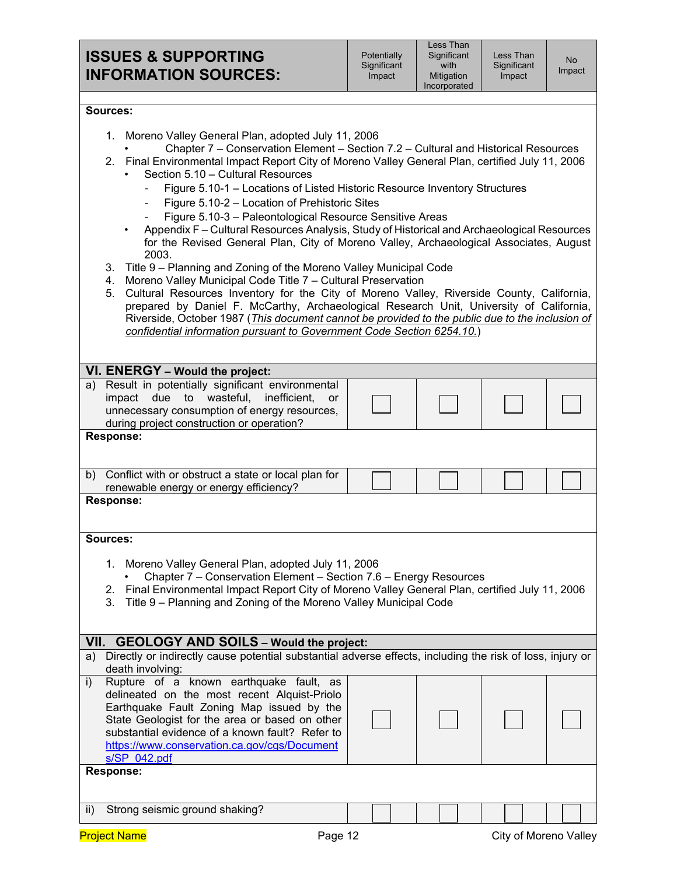Less Than **Significant** Impact

#### **Sources:**

|  | 1. Moreno Valley General Plan, adopted July 11, 2006 |  |
|--|------------------------------------------------------|--|
|--|------------------------------------------------------|--|

- Chapter 7 Conservation Element Section 7.2 Cultural and Historical Resources
- 2. Final Environmental Impact Report City of Moreno Valley General Plan, certified July 11, 2006
	- Section 5.10 Cultural Resources
		- Figure 5.10-1 Locations of Listed Historic Resource Inventory Structures
		- Figure 5.10-2 Location of Prehistoric Sites
		- Figure 5.10-3 Paleontological Resource Sensitive Areas
		- Appendix F Cultural Resources Analysis, Study of Historical and Archaeological Resources for the Revised General Plan, City of Moreno Valley, Archaeological Associates, August 2003.
- 3. Title 9 Planning and Zoning of the Moreno Valley Municipal Code
- 4. Moreno Valley Municipal Code Title 7 Cultural Preservation
- 5. Cultural Resources Inventory for the City of Moreno Valley, Riverside County, California, prepared by Daniel F. McCarthy, Archaeological Research Unit, University of California, Riverside, October 1987 (*This document cannot be provided to the public due to the inclusion of confidential information pursuant to Government Code Section 6254.10.*)

| VI. ENERGY - Would the project:                                                                                                                                                                                                                                                                                           |           |  |  |                       |
|---------------------------------------------------------------------------------------------------------------------------------------------------------------------------------------------------------------------------------------------------------------------------------------------------------------------------|-----------|--|--|-----------------------|
| Result in potentially significant environmental<br>a)<br>impact due to wasteful, inefficient,<br>unnecessary consumption of energy resources,<br>during project construction or operation?                                                                                                                                | <b>or</b> |  |  |                       |
| <b>Response:</b>                                                                                                                                                                                                                                                                                                          |           |  |  |                       |
| b) Conflict with or obstruct a state or local plan for<br>renewable energy or energy efficiency?                                                                                                                                                                                                                          |           |  |  |                       |
| <b>Response:</b>                                                                                                                                                                                                                                                                                                          |           |  |  |                       |
| Sources:                                                                                                                                                                                                                                                                                                                  |           |  |  |                       |
| 1. Moreno Valley General Plan, adopted July 11, 2006<br>Chapter 7 – Conservation Element – Section 7.6 – Energy Resources<br>2. Final Environmental Impact Report City of Moreno Valley General Plan, certified July 11, 2006<br>Title 9 – Planning and Zoning of the Moreno Valley Municipal Code<br>3.                  |           |  |  |                       |
| VII. GEOLOGY AND SOILS - Would the project:                                                                                                                                                                                                                                                                               |           |  |  |                       |
| Directly or indirectly cause potential substantial adverse effects, including the risk of loss, injury or<br>a)<br>death involving:                                                                                                                                                                                       |           |  |  |                       |
| Rupture of a known earthquake fault, as<br>$\mathsf{i}$<br>delineated on the most recent Alquist-Priolo<br>Earthquake Fault Zoning Map issued by the<br>State Geologist for the area or based on other<br>substantial evidence of a known fault? Refer to<br>https://www.conservation.ca.gov/cgs/Document<br>s/SP 042.pdf |           |  |  |                       |
| <b>Response:</b>                                                                                                                                                                                                                                                                                                          |           |  |  |                       |
|                                                                                                                                                                                                                                                                                                                           |           |  |  |                       |
| Strong seismic ground shaking?<br>$\mathsf{ii}$ )                                                                                                                                                                                                                                                                         |           |  |  |                       |
| <b>Project Name</b>                                                                                                                                                                                                                                                                                                       | Page 12   |  |  | City of Moreno Valley |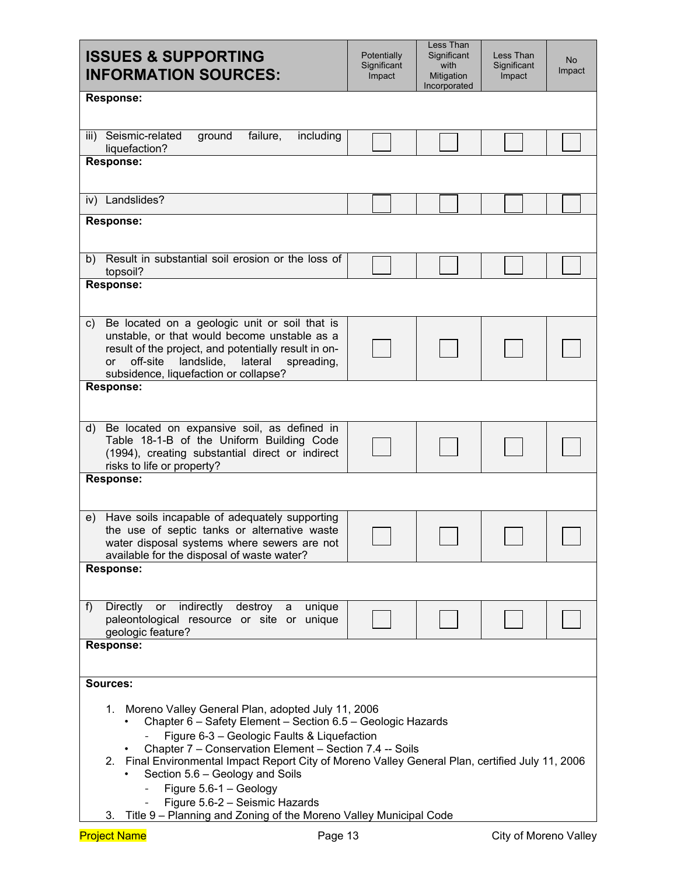| <b>ISSUES &amp; SUPPORTING</b><br><b>INFORMATION SOURCES:</b>                                                                                                                                                                                                                                                                                                                                  | Potentially<br>Significant<br>Impact | Less Than<br>Significant<br>with<br>Mitigation<br>Incorporated | Less Than<br>Significant<br>Impact | No<br>Impact |
|------------------------------------------------------------------------------------------------------------------------------------------------------------------------------------------------------------------------------------------------------------------------------------------------------------------------------------------------------------------------------------------------|--------------------------------------|----------------------------------------------------------------|------------------------------------|--------------|
| <b>Response:</b>                                                                                                                                                                                                                                                                                                                                                                               |                                      |                                                                |                                    |              |
| Seismic-related<br>failure,<br>iii)<br>ground<br>including<br>liquefaction?<br><b>Response:</b>                                                                                                                                                                                                                                                                                                |                                      |                                                                |                                    |              |
|                                                                                                                                                                                                                                                                                                                                                                                                |                                      |                                                                |                                    |              |
| iv) Landslides?                                                                                                                                                                                                                                                                                                                                                                                |                                      |                                                                |                                    |              |
| <b>Response:</b>                                                                                                                                                                                                                                                                                                                                                                               |                                      |                                                                |                                    |              |
| Result in substantial soil erosion or the loss of<br>b)<br>topsoil?                                                                                                                                                                                                                                                                                                                            |                                      |                                                                |                                    |              |
| <b>Response:</b>                                                                                                                                                                                                                                                                                                                                                                               |                                      |                                                                |                                    |              |
| Be located on a geologic unit or soil that is<br>C)<br>unstable, or that would become unstable as a<br>result of the project, and potentially result in on-<br>off-site<br>landslide,<br>lateral<br><b>or</b><br>spreading,<br>subsidence, liquefaction or collapse?                                                                                                                           |                                      |                                                                |                                    |              |
| <b>Response:</b>                                                                                                                                                                                                                                                                                                                                                                               |                                      |                                                                |                                    |              |
| Be located on expansive soil, as defined in<br>d)<br>Table 18-1-B of the Uniform Building Code<br>(1994), creating substantial direct or indirect<br>risks to life or property?                                                                                                                                                                                                                |                                      |                                                                |                                    |              |
| <b>Response:</b>                                                                                                                                                                                                                                                                                                                                                                               |                                      |                                                                |                                    |              |
| Have soils incapable of adequately supporting<br>e)<br>the use of septic tanks or alternative waste<br>water disposal systems where sewers are not<br>available for the disposal of waste water?                                                                                                                                                                                               |                                      |                                                                |                                    |              |
| <b>Response:</b>                                                                                                                                                                                                                                                                                                                                                                               |                                      |                                                                |                                    |              |
| indirectly<br>f<br><b>Directly</b><br>or<br>destroy<br>unique<br>a<br>paleontological resource or site or unique<br>geologic feature?                                                                                                                                                                                                                                                          |                                      |                                                                |                                    |              |
| <b>Response:</b>                                                                                                                                                                                                                                                                                                                                                                               |                                      |                                                                |                                    |              |
| Sources:                                                                                                                                                                                                                                                                                                                                                                                       |                                      |                                                                |                                    |              |
| 1. Moreno Valley General Plan, adopted July 11, 2006<br>Chapter 6 - Safety Element - Section 6.5 - Geologic Hazards<br>Figure 6-3 - Geologic Faults & Liquefaction<br>Chapter 7 - Conservation Element - Section 7.4 -- Soils<br>2. Final Environmental Impact Report City of Moreno Valley General Plan, certified July 11, 2006<br>Section 5.6 - Geology and Soils<br>Figure 5.6-1 - Geology |                                      |                                                                |                                    |              |
| Figure 5.6-2 - Seismic Hazards<br>$\overline{\phantom{0}}$<br>Title 9 - Planning and Zoning of the Moreno Valley Municipal Code<br>3.                                                                                                                                                                                                                                                          |                                      |                                                                |                                    |              |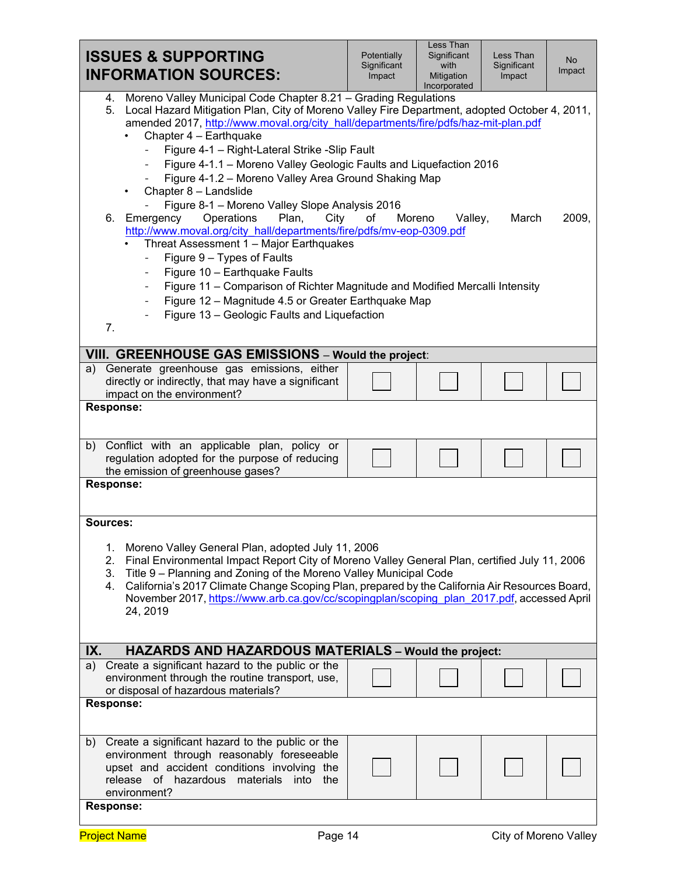| <b>ISSUES &amp; SUPPORTING</b><br><b>INFORMATION SOURCES:</b>                                                                                                                                                                                                                                                                                                                                                                                                                                                                                                                                                                                                                                                                                                                                                                                                                                                                                                                                                     | Potentially<br>Significant<br>Impact | Less Than<br>Significant<br>with<br>Mitigation<br>Incorporated | Less Than<br>Significant<br>Impact | <b>No</b><br>Impact |
|-------------------------------------------------------------------------------------------------------------------------------------------------------------------------------------------------------------------------------------------------------------------------------------------------------------------------------------------------------------------------------------------------------------------------------------------------------------------------------------------------------------------------------------------------------------------------------------------------------------------------------------------------------------------------------------------------------------------------------------------------------------------------------------------------------------------------------------------------------------------------------------------------------------------------------------------------------------------------------------------------------------------|--------------------------------------|----------------------------------------------------------------|------------------------------------|---------------------|
| 4. Moreno Valley Municipal Code Chapter 8.21 - Grading Regulations<br>5. Local Hazard Mitigation Plan, City of Moreno Valley Fire Department, adopted October 4, 2011,<br>amended 2017, http://www.moval.org/city hall/departments/fire/pdfs/haz-mit-plan.pdf<br>Chapter 4 - Earthquake<br>Figure 4-1 - Right-Lateral Strike -Slip Fault<br>Figure 4-1.1 - Moreno Valley Geologic Faults and Liquefaction 2016<br>Figure 4-1.2 - Moreno Valley Area Ground Shaking Map<br>Chapter 8 - Landslide<br>Figure 8-1 - Moreno Valley Slope Analysis 2016<br>Plan,<br>6. Emergency<br>Operations<br>City<br>http://www.moval.org/city_hall/departments/fire/pdfs/mv-eop-0309.pdf<br>Threat Assessment 1 - Major Earthquakes<br>Figure 9 - Types of Faults<br>Figure 10 - Earthquake Faults<br>Figure 11 - Comparison of Richter Magnitude and Modified Mercalli Intensity<br>$-$<br>Figure 12 - Magnitude 4.5 or Greater Earthquake Map<br>$\overline{\phantom{a}}$<br>Figure 13 - Geologic Faults and Liquefaction<br>7. | of                                   | Moreno<br>Valley,                                              | March                              | 2009,               |
| VIII. GREENHOUSE GAS EMISSIONS - Would the project:                                                                                                                                                                                                                                                                                                                                                                                                                                                                                                                                                                                                                                                                                                                                                                                                                                                                                                                                                               |                                      |                                                                |                                    |                     |
| a) Generate greenhouse gas emissions, either<br>directly or indirectly, that may have a significant<br>impact on the environment?                                                                                                                                                                                                                                                                                                                                                                                                                                                                                                                                                                                                                                                                                                                                                                                                                                                                                 |                                      |                                                                |                                    |                     |
| <b>Response:</b>                                                                                                                                                                                                                                                                                                                                                                                                                                                                                                                                                                                                                                                                                                                                                                                                                                                                                                                                                                                                  |                                      |                                                                |                                    |                     |
| b) Conflict with an applicable plan, policy or<br>regulation adopted for the purpose of reducing<br>the emission of greenhouse gases?                                                                                                                                                                                                                                                                                                                                                                                                                                                                                                                                                                                                                                                                                                                                                                                                                                                                             |                                      |                                                                |                                    |                     |
| <b>Response:</b>                                                                                                                                                                                                                                                                                                                                                                                                                                                                                                                                                                                                                                                                                                                                                                                                                                                                                                                                                                                                  |                                      |                                                                |                                    |                     |
| Sources:<br>Moreno Valley General Plan, adopted July 11, 2006<br>1.<br>2.<br>Final Environmental Impact Report City of Moreno Valley General Plan, certified July 11, 2006<br>Title 9 - Planning and Zoning of the Moreno Valley Municipal Code<br>3.<br>California's 2017 Climate Change Scoping Plan, prepared by the California Air Resources Board,<br>4.<br>November 2017, https://www.arb.ca.gov/cc/scopingplan/scoping_plan_2017.pdf, accessed April<br>24, 2019                                                                                                                                                                                                                                                                                                                                                                                                                                                                                                                                           |                                      |                                                                |                                    |                     |
| IX.<br><b>HAZARDS AND HAZARDOUS MATERIALS - Would the project:</b>                                                                                                                                                                                                                                                                                                                                                                                                                                                                                                                                                                                                                                                                                                                                                                                                                                                                                                                                                |                                      |                                                                |                                    |                     |
| Create a significant hazard to the public or the<br>a)<br>environment through the routine transport, use,<br>or disposal of hazardous materials?                                                                                                                                                                                                                                                                                                                                                                                                                                                                                                                                                                                                                                                                                                                                                                                                                                                                  |                                      |                                                                |                                    |                     |
| <b>Response:</b>                                                                                                                                                                                                                                                                                                                                                                                                                                                                                                                                                                                                                                                                                                                                                                                                                                                                                                                                                                                                  |                                      |                                                                |                                    |                     |
| Create a significant hazard to the public or the<br>b)<br>environment through reasonably foreseeable<br>upset and accident conditions involving the<br>release of hazardous materials into<br>the<br>environment?<br>Response:                                                                                                                                                                                                                                                                                                                                                                                                                                                                                                                                                                                                                                                                                                                                                                                    |                                      |                                                                |                                    |                     |
|                                                                                                                                                                                                                                                                                                                                                                                                                                                                                                                                                                                                                                                                                                                                                                                                                                                                                                                                                                                                                   |                                      |                                                                |                                    |                     |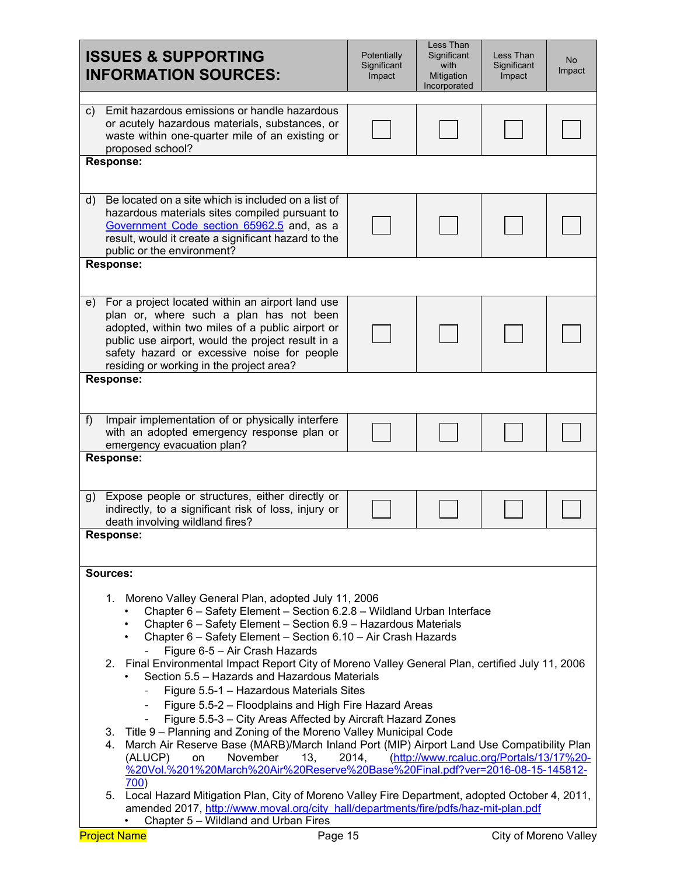| <b>ISSUES &amp; SUPPORTING</b><br><b>INFORMATION SOURCES:</b>                                                                                                                                                                                                                                                         | Potentially<br>Significant<br>Impact | Less Than<br>Significant<br>with<br>Mitigation<br>Incorporated | Less Than<br>Significant<br>Impact | <b>No</b><br>Impact |  |
|-----------------------------------------------------------------------------------------------------------------------------------------------------------------------------------------------------------------------------------------------------------------------------------------------------------------------|--------------------------------------|----------------------------------------------------------------|------------------------------------|---------------------|--|
| Emit hazardous emissions or handle hazardous<br>$\mathsf{c}$<br>or acutely hazardous materials, substances, or<br>waste within one-quarter mile of an existing or<br>proposed school?                                                                                                                                 |                                      |                                                                |                                    |                     |  |
| <b>Response:</b>                                                                                                                                                                                                                                                                                                      |                                      |                                                                |                                    |                     |  |
| Be located on a site which is included on a list of<br>d)<br>hazardous materials sites compiled pursuant to<br>Government Code section 65962.5 and, as a<br>result, would it create a significant hazard to the<br>public or the environment?                                                                         |                                      |                                                                |                                    |                     |  |
| <b>Response:</b>                                                                                                                                                                                                                                                                                                      |                                      |                                                                |                                    |                     |  |
| For a project located within an airport land use<br>e)<br>plan or, where such a plan has not been<br>adopted, within two miles of a public airport or<br>public use airport, would the project result in a<br>safety hazard or excessive noise for people<br>residing or working in the project area?                 |                                      |                                                                |                                    |                     |  |
| <b>Response:</b>                                                                                                                                                                                                                                                                                                      |                                      |                                                                |                                    |                     |  |
| Impair implementation of or physically interfere<br>f<br>with an adopted emergency response plan or<br>emergency evacuation plan?                                                                                                                                                                                     |                                      |                                                                |                                    |                     |  |
| <b>Response:</b>                                                                                                                                                                                                                                                                                                      |                                      |                                                                |                                    |                     |  |
| Expose people or structures, either directly or<br>g)<br>indirectly, to a significant risk of loss, injury or<br>death involving wildland fires?                                                                                                                                                                      |                                      |                                                                |                                    |                     |  |
| Response:                                                                                                                                                                                                                                                                                                             |                                      |                                                                |                                    |                     |  |
| Sources:                                                                                                                                                                                                                                                                                                              |                                      |                                                                |                                    |                     |  |
| Moreno Valley General Plan, adopted July 11, 2006<br>1.<br>Chapter 6 - Safety Element - Section 6.2.8 - Wildland Urban Interface<br>Chapter 6 - Safety Element - Section 6.9 - Hazardous Materials<br>Chapter 6 - Safety Element - Section 6.10 - Air Crash Hazards<br>$\bullet$<br>Figure 6-5 - Air Crash Hazards    |                                      |                                                                |                                    |                     |  |
| 2. Final Environmental Impact Report City of Moreno Valley General Plan, certified July 11, 2006<br>Section 5.5 - Hazards and Hazardous Materials<br>Figure 5.5-1 - Hazardous Materials Sites<br>Figure 5.5-2 - Floodplains and High Fire Hazard Areas<br>Figure 5.5-3 - City Areas Affected by Aircraft Hazard Zones |                                      |                                                                |                                    |                     |  |
| 3. Title 9 - Planning and Zoning of the Moreno Valley Municipal Code<br>4. March Air Reserve Base (MARB)/March Inland Port (MIP) Airport Land Use Compatibility Plan<br>(ALUCP)<br>November<br>13,<br>on<br>%20Vol.%201%20March%20Air%20Reserve%20Base%20Final.pdf?ver=2016-08-15-145812-<br>700)                     | 2014,                                | (http://www.rcaluc.org/Portals/13/17%20-                       |                                    |                     |  |
| Local Hazard Mitigation Plan, City of Moreno Valley Fire Department, adopted October 4, 2011,<br>5.<br>amended 2017, http://www.moval.org/city hall/departments/fire/pdfs/haz-mit-plan.pdf                                                                                                                            |                                      |                                                                |                                    |                     |  |
| Chapter 5 - Wildland and Urban Fires<br><b>Project Name</b><br>Page 15                                                                                                                                                                                                                                                |                                      |                                                                | <b>City of Moreno Valley</b>       |                     |  |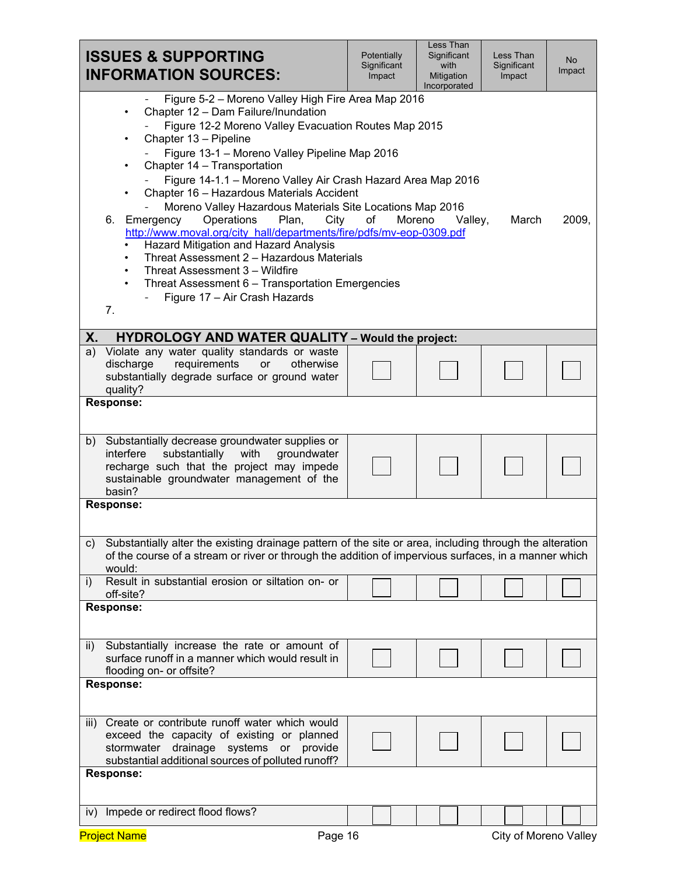| <b>ISSUES &amp; SUPPORTING</b><br><b>INFORMATION SOURCES:</b>                                                                                                                                                                                                                                                                                                                                                                                                                                                                                                                                                                                                                                                                                                             | Potentially<br>Significant<br>Impact | <b>Less Than</b><br>Significant<br>with<br>Mitigation<br>Incorporated | Less Than<br>Significant<br>Impact | <b>No</b><br>Impact |
|---------------------------------------------------------------------------------------------------------------------------------------------------------------------------------------------------------------------------------------------------------------------------------------------------------------------------------------------------------------------------------------------------------------------------------------------------------------------------------------------------------------------------------------------------------------------------------------------------------------------------------------------------------------------------------------------------------------------------------------------------------------------------|--------------------------------------|-----------------------------------------------------------------------|------------------------------------|---------------------|
| Figure 5-2 - Moreno Valley High Fire Area Map 2016<br>Chapter 12 - Dam Failure/Inundation<br>Figure 12-2 Moreno Valley Evacuation Routes Map 2015<br>Chapter 13 - Pipeline<br>Figure 13-1 - Moreno Valley Pipeline Map 2016<br>Chapter 14 - Transportation<br>Figure 14-1.1 - Moreno Valley Air Crash Hazard Area Map 2016<br>Chapter 16 - Hazardous Materials Accident<br>Moreno Valley Hazardous Materials Site Locations Map 2016<br>Operations<br>6.<br>Emergency<br>Plan,<br>http://www.moval.org/city_hall/departments/fire/pdfs/mv-eop-0309.pdf<br>Hazard Mitigation and Hazard Analysis<br>Threat Assessment 2 - Hazardous Materials<br>Threat Assessment 3 - Wildfire<br>Threat Assessment 6 - Transportation Emergencies<br>Figure 17 - Air Crash Hazards<br>7. | City<br>of                           | Moreno<br>Valley,                                                     | March                              | 2009,               |
| Х.<br><b>HYDROLOGY AND WATER QUALITY - Would the project:</b>                                                                                                                                                                                                                                                                                                                                                                                                                                                                                                                                                                                                                                                                                                             |                                      |                                                                       |                                    |                     |
| Violate any water quality standards or waste<br>a)<br>requirements<br>discharge<br>otherwise<br>or<br>substantially degrade surface or ground water<br>quality?                                                                                                                                                                                                                                                                                                                                                                                                                                                                                                                                                                                                           |                                      |                                                                       |                                    |                     |
| <b>Response:</b>                                                                                                                                                                                                                                                                                                                                                                                                                                                                                                                                                                                                                                                                                                                                                          |                                      |                                                                       |                                    |                     |
| Substantially decrease groundwater supplies or<br>b)<br>substantially<br>interfere<br>with<br>groundwater<br>recharge such that the project may impede<br>sustainable groundwater management of the<br>basin?                                                                                                                                                                                                                                                                                                                                                                                                                                                                                                                                                             |                                      |                                                                       |                                    |                     |
| <b>Response:</b>                                                                                                                                                                                                                                                                                                                                                                                                                                                                                                                                                                                                                                                                                                                                                          |                                      |                                                                       |                                    |                     |
| Substantially alter the existing drainage pattern of the site or area, including through the alteration<br>C)<br>of the course of a stream or river or through the addition of impervious surfaces, in a manner which<br>would:                                                                                                                                                                                                                                                                                                                                                                                                                                                                                                                                           |                                      |                                                                       |                                    |                     |
| Result in substantial erosion or siltation on- or<br>i)<br>off-site?                                                                                                                                                                                                                                                                                                                                                                                                                                                                                                                                                                                                                                                                                                      |                                      |                                                                       |                                    |                     |
| <b>Response:</b>                                                                                                                                                                                                                                                                                                                                                                                                                                                                                                                                                                                                                                                                                                                                                          |                                      |                                                                       |                                    |                     |
| Substantially increase the rate or amount of<br>ii)<br>surface runoff in a manner which would result in<br>flooding on- or offsite?                                                                                                                                                                                                                                                                                                                                                                                                                                                                                                                                                                                                                                       |                                      |                                                                       |                                    |                     |
| <b>Response:</b>                                                                                                                                                                                                                                                                                                                                                                                                                                                                                                                                                                                                                                                                                                                                                          |                                      |                                                                       |                                    |                     |
| Create or contribute runoff water which would<br>iii)<br>exceed the capacity of existing or planned<br>drainage systems or provide<br>stormwater<br>substantial additional sources of polluted runoff?                                                                                                                                                                                                                                                                                                                                                                                                                                                                                                                                                                    |                                      |                                                                       |                                    |                     |
| <b>Response:</b>                                                                                                                                                                                                                                                                                                                                                                                                                                                                                                                                                                                                                                                                                                                                                          |                                      |                                                                       |                                    |                     |
| iv) Impede or redirect flood flows?                                                                                                                                                                                                                                                                                                                                                                                                                                                                                                                                                                                                                                                                                                                                       |                                      |                                                                       |                                    |                     |
| <b>Project Name</b>                                                                                                                                                                                                                                                                                                                                                                                                                                                                                                                                                                                                                                                                                                                                                       | Page 16                              |                                                                       | City of Moreno Valley              |                     |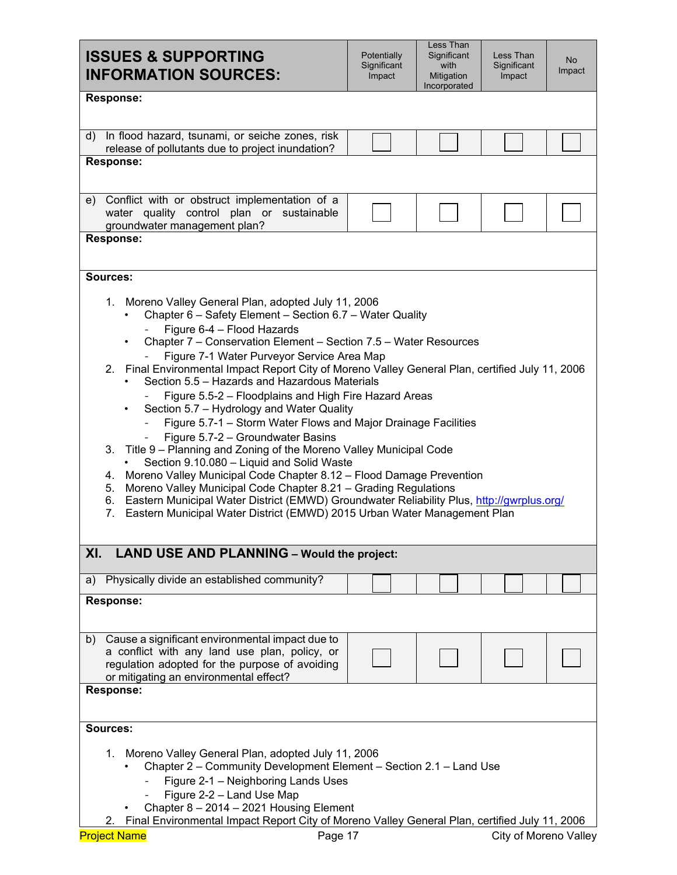| Incorporated<br><b>Response:</b><br>In flood hazard, tsunami, or seiche zones, risk<br>d)<br>release of pollutants due to project inundation?<br><b>Response:</b><br>e) Conflict with or obstruct implementation of a<br>water quality control plan or sustainable<br>groundwater management plan?<br><b>Response:</b><br>Sources:<br>Moreno Valley General Plan, adopted July 11, 2006<br>1.<br>Chapter 6 - Safety Element - Section 6.7 - Water Quality<br>Figure 6-4 - Flood Hazards<br>Chapter 7 - Conservation Element - Section 7.5 - Water Resources<br>Figure 7-1 Water Purveyor Service Area Map<br>Section 5.5 – Hazards and Hazardous Materials<br>Figure 5.5-2 - Floodplains and High Fire Hazard Areas<br>Section 5.7 - Hydrology and Water Quality<br>Figure 5.7-1 - Storm Water Flows and Major Drainage Facilities |  |  |  |  |  |  |
|------------------------------------------------------------------------------------------------------------------------------------------------------------------------------------------------------------------------------------------------------------------------------------------------------------------------------------------------------------------------------------------------------------------------------------------------------------------------------------------------------------------------------------------------------------------------------------------------------------------------------------------------------------------------------------------------------------------------------------------------------------------------------------------------------------------------------------|--|--|--|--|--|--|
|                                                                                                                                                                                                                                                                                                                                                                                                                                                                                                                                                                                                                                                                                                                                                                                                                                    |  |  |  |  |  |  |
|                                                                                                                                                                                                                                                                                                                                                                                                                                                                                                                                                                                                                                                                                                                                                                                                                                    |  |  |  |  |  |  |
|                                                                                                                                                                                                                                                                                                                                                                                                                                                                                                                                                                                                                                                                                                                                                                                                                                    |  |  |  |  |  |  |
|                                                                                                                                                                                                                                                                                                                                                                                                                                                                                                                                                                                                                                                                                                                                                                                                                                    |  |  |  |  |  |  |
| 2. Final Environmental Impact Report City of Moreno Valley General Plan, certified July 11, 2006<br>Figure 5.7-2 - Groundwater Basins<br>3. Title 9 - Planning and Zoning of the Moreno Valley Municipal Code<br>Section 9.10.080 - Liquid and Solid Waste<br>Moreno Valley Municipal Code Chapter 8.12 - Flood Damage Prevention<br>4.<br>Moreno Valley Municipal Code Chapter 8.21 - Grading Regulations<br>5.<br>Eastern Municipal Water District (EMWD) Groundwater Reliability Plus, http://gwrplus.org/<br>6.<br>Eastern Municipal Water District (EMWD) 2015 Urban Water Management Plan<br>7.                                                                                                                                                                                                                              |  |  |  |  |  |  |
| <b>LAND USE AND PLANNING - Would the project:</b><br>XI.                                                                                                                                                                                                                                                                                                                                                                                                                                                                                                                                                                                                                                                                                                                                                                           |  |  |  |  |  |  |
| Physically divide an established community?<br>a)                                                                                                                                                                                                                                                                                                                                                                                                                                                                                                                                                                                                                                                                                                                                                                                  |  |  |  |  |  |  |
| <b>Response:</b>                                                                                                                                                                                                                                                                                                                                                                                                                                                                                                                                                                                                                                                                                                                                                                                                                   |  |  |  |  |  |  |
| Cause a significant environmental impact due to<br>b)<br>a conflict with any land use plan, policy, or<br>regulation adopted for the purpose of avoiding<br>or mitigating an environmental effect?<br><b>Response:</b>                                                                                                                                                                                                                                                                                                                                                                                                                                                                                                                                                                                                             |  |  |  |  |  |  |
| <b>Sources:</b>                                                                                                                                                                                                                                                                                                                                                                                                                                                                                                                                                                                                                                                                                                                                                                                                                    |  |  |  |  |  |  |
| Moreno Valley General Plan, adopted July 11, 2006<br>1.<br>Chapter 2 – Community Development Element – Section 2.1 – Land Use<br>Figure 2-1 - Neighboring Lands Uses<br>Figure 2-2 - Land Use Map<br>Chapter 8 - 2014 - 2021 Housing Element<br>Final Environmental Impact Report City of Moreno Valley General Plan, certified July 11, 2006<br>2.<br><b>Project Name</b><br>Page 17<br>City of Moreno Valley                                                                                                                                                                                                                                                                                                                                                                                                                     |  |  |  |  |  |  |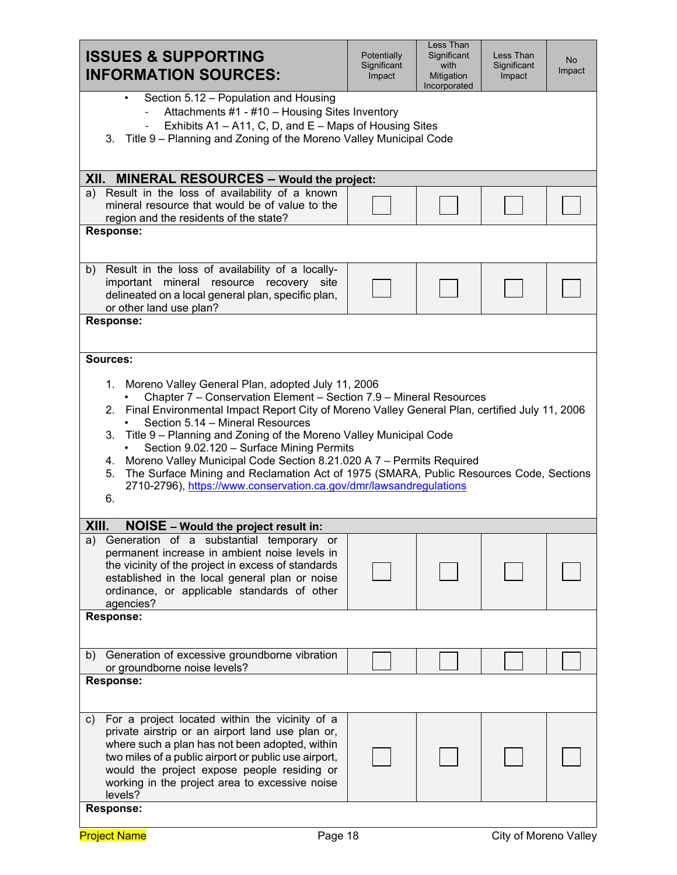| <b>ISSUES &amp; SUPPORTING</b><br><b>INFORMATION SOURCES:</b>                                                                                                                                                                                                                                                                                                                                                                                                                                                                                                                                                                                        | Potentially<br>Significant<br>Impact | Less Than<br>Significant<br>with<br>Mitigation<br>Incorporated | Less Than<br>Significant<br>Impact | <b>No</b><br>Impact |  |
|------------------------------------------------------------------------------------------------------------------------------------------------------------------------------------------------------------------------------------------------------------------------------------------------------------------------------------------------------------------------------------------------------------------------------------------------------------------------------------------------------------------------------------------------------------------------------------------------------------------------------------------------------|--------------------------------------|----------------------------------------------------------------|------------------------------------|---------------------|--|
| Section 5.12 - Population and Housing<br>Attachments #1 - #10 - Housing Sites Inventory<br>Exhibits A1 - A11, C, D, and E - Maps of Housing Sites<br>$\overline{\phantom{0}}$<br>Title 9 – Planning and Zoning of the Moreno Valley Municipal Code<br>3.                                                                                                                                                                                                                                                                                                                                                                                             |                                      |                                                                |                                    |                     |  |
| XII. MINERAL RESOURCES - Would the project:                                                                                                                                                                                                                                                                                                                                                                                                                                                                                                                                                                                                          |                                      |                                                                |                                    |                     |  |
| Result in the loss of availability of a known<br>a)<br>mineral resource that would be of value to the<br>region and the residents of the state?                                                                                                                                                                                                                                                                                                                                                                                                                                                                                                      |                                      |                                                                |                                    |                     |  |
| <b>Response:</b>                                                                                                                                                                                                                                                                                                                                                                                                                                                                                                                                                                                                                                     |                                      |                                                                |                                    |                     |  |
| Result in the loss of availability of a locally-<br>b)<br>important mineral resource recovery site<br>delineated on a local general plan, specific plan,<br>or other land use plan?                                                                                                                                                                                                                                                                                                                                                                                                                                                                  |                                      |                                                                |                                    |                     |  |
| <b>Response:</b>                                                                                                                                                                                                                                                                                                                                                                                                                                                                                                                                                                                                                                     |                                      |                                                                |                                    |                     |  |
| 1. Moreno Valley General Plan, adopted July 11, 2006<br>Chapter 7 - Conservation Element - Section 7.9 - Mineral Resources<br>2. Final Environmental Impact Report City of Moreno Valley General Plan, certified July 11, 2006<br>Section 5.14 - Mineral Resources<br>Title 9 - Planning and Zoning of the Moreno Valley Municipal Code<br>3.<br>Section 9.02.120 - Surface Mining Permits<br>Moreno Valley Municipal Code Section 8.21.020 A 7 - Permits Required<br>4.<br>The Surface Mining and Reclamation Act of 1975 (SMARA, Public Resources Code, Sections<br>5.<br>2710-2796), https://www.conservation.ca.gov/dmr/lawsandregulations<br>6. |                                      |                                                                |                                    |                     |  |
| XIII.<br><b>NOISE - Would the project result in:</b>                                                                                                                                                                                                                                                                                                                                                                                                                                                                                                                                                                                                 |                                      |                                                                |                                    |                     |  |
| Generation of a substantial temporary or<br>a)<br>permanent increase in ambient noise levels in<br>the vicinity of the project in excess of standards<br>established in the local general plan or noise<br>ordinance, or applicable standards of other<br>agencies?                                                                                                                                                                                                                                                                                                                                                                                  |                                      |                                                                |                                    |                     |  |
| <b>Response:</b>                                                                                                                                                                                                                                                                                                                                                                                                                                                                                                                                                                                                                                     |                                      |                                                                |                                    |                     |  |
| Generation of excessive groundborne vibration<br>b)<br>or groundborne noise levels?                                                                                                                                                                                                                                                                                                                                                                                                                                                                                                                                                                  |                                      |                                                                |                                    |                     |  |
| <b>Response:</b>                                                                                                                                                                                                                                                                                                                                                                                                                                                                                                                                                                                                                                     |                                      |                                                                |                                    |                     |  |
| For a project located within the vicinity of a<br>C)<br>private airstrip or an airport land use plan or,<br>where such a plan has not been adopted, within<br>two miles of a public airport or public use airport,<br>would the project expose people residing or<br>working in the project area to excessive noise<br>levels?                                                                                                                                                                                                                                                                                                                       |                                      |                                                                |                                    |                     |  |
| <b>Response:</b>                                                                                                                                                                                                                                                                                                                                                                                                                                                                                                                                                                                                                                     |                                      |                                                                |                                    |                     |  |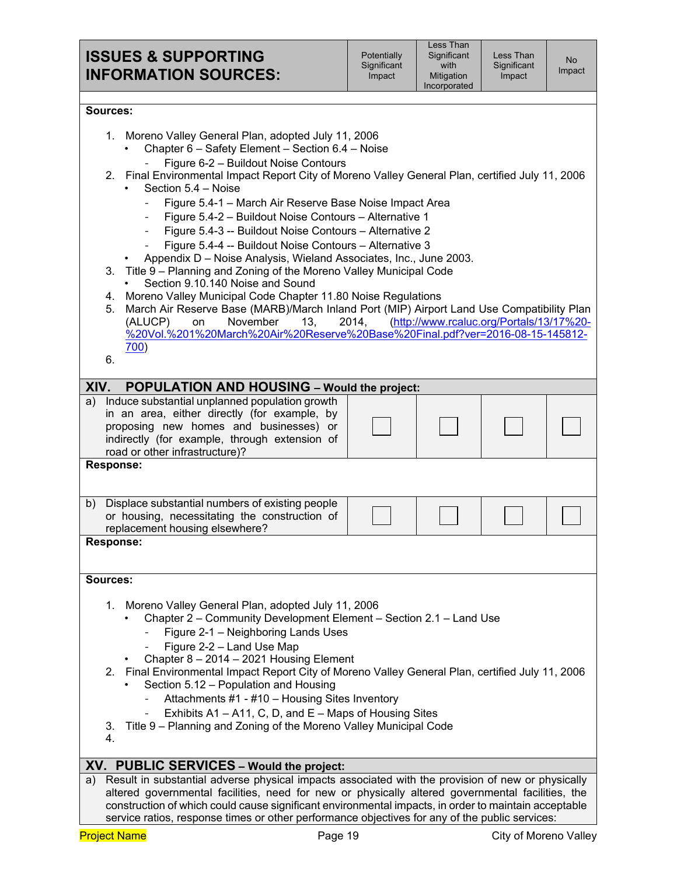Less Than Significant Impact

#### **Sources:**

|          |                                                                                | 1. Moreno Valley General Plan, adopted July 11, 2006                                                                                                                               |  |  |  |  |
|----------|--------------------------------------------------------------------------------|------------------------------------------------------------------------------------------------------------------------------------------------------------------------------------|--|--|--|--|
|          |                                                                                | Chapter 6 - Safety Element - Section 6.4 - Noise                                                                                                                                   |  |  |  |  |
|          | Figure 6-2 - Buildout Noise Contours                                           |                                                                                                                                                                                    |  |  |  |  |
|          |                                                                                | 2. Final Environmental Impact Report City of Moreno Valley General Plan, certified July 11, 2006                                                                                   |  |  |  |  |
|          | Section 5.4 - Noise<br>Figure 5.4-1 - March Air Reserve Base Noise Impact Area |                                                                                                                                                                                    |  |  |  |  |
|          |                                                                                | Figure 5.4-2 - Buildout Noise Contours - Alternative 1<br>$\overline{\phantom{0}}$                                                                                                 |  |  |  |  |
|          |                                                                                | Figure 5.4-3 -- Buildout Noise Contours - Alternative 2<br>$\overline{\phantom{0}}$                                                                                                |  |  |  |  |
|          |                                                                                | Figure 5.4-4 -- Buildout Noise Contours - Alternative 3                                                                                                                            |  |  |  |  |
|          |                                                                                | Appendix D - Noise Analysis, Wieland Associates, Inc., June 2003.                                                                                                                  |  |  |  |  |
|          |                                                                                | 3. Title 9 – Planning and Zoning of the Moreno Valley Municipal Code                                                                                                               |  |  |  |  |
|          | Section 9.10.140 Noise and Sound                                               |                                                                                                                                                                                    |  |  |  |  |
|          | 4.                                                                             | Moreno Valley Municipal Code Chapter 11.80 Noise Regulations                                                                                                                       |  |  |  |  |
|          | 5.                                                                             | March Air Reserve Base (MARB)/March Inland Port (MIP) Airport Land Use Compatibility Plan<br>(http://www.rcaluc.org/Portals/13/17%20-<br>November<br>2014,<br>(ALUCP)<br>on<br>13, |  |  |  |  |
|          |                                                                                | %20Vol.%201%20March%20Air%20Reserve%20Base%20Final.pdf?ver=2016-08-15-145812-                                                                                                      |  |  |  |  |
|          |                                                                                | 700)                                                                                                                                                                               |  |  |  |  |
|          | 6.                                                                             |                                                                                                                                                                                    |  |  |  |  |
| XIV.     |                                                                                | POPULATION AND HOUSING - Would the project:                                                                                                                                        |  |  |  |  |
| a)       |                                                                                | Induce substantial unplanned population growth                                                                                                                                     |  |  |  |  |
|          |                                                                                | in an area, either directly (for example, by                                                                                                                                       |  |  |  |  |
|          |                                                                                | proposing new homes and businesses) or                                                                                                                                             |  |  |  |  |
|          |                                                                                | indirectly (for example, through extension of                                                                                                                                      |  |  |  |  |
|          |                                                                                | road or other infrastructure)?                                                                                                                                                     |  |  |  |  |
|          |                                                                                | <b>Response:</b>                                                                                                                                                                   |  |  |  |  |
|          |                                                                                |                                                                                                                                                                                    |  |  |  |  |
|          |                                                                                | b) Displace substantial numbers of existing people                                                                                                                                 |  |  |  |  |
|          |                                                                                | or housing, necessitating the construction of                                                                                                                                      |  |  |  |  |
|          |                                                                                | replacement housing elsewhere?<br><b>Response:</b>                                                                                                                                 |  |  |  |  |
|          |                                                                                |                                                                                                                                                                                    |  |  |  |  |
|          |                                                                                |                                                                                                                                                                                    |  |  |  |  |
| Sources: |                                                                                |                                                                                                                                                                                    |  |  |  |  |
|          | 1.                                                                             | Moreno Valley General Plan, adopted July 11, 2006                                                                                                                                  |  |  |  |  |
|          |                                                                                | Chapter 2 – Community Development Element – Section 2.1 – Land Use                                                                                                                 |  |  |  |  |
|          |                                                                                | Figure 2-1 - Neighboring Lands Uses                                                                                                                                                |  |  |  |  |
|          |                                                                                | Figure 2-2 - Land Use Map                                                                                                                                                          |  |  |  |  |
|          |                                                                                | Chapter 8 - 2014 - 2021 Housing Element                                                                                                                                            |  |  |  |  |
|          | 2.                                                                             | Final Environmental Impact Report City of Moreno Valley General Plan, certified July 11, 2006                                                                                      |  |  |  |  |
|          |                                                                                | Section 5.12 - Population and Housing                                                                                                                                              |  |  |  |  |
|          |                                                                                | Attachments #1 - #10 - Housing Sites Inventory                                                                                                                                     |  |  |  |  |
|          |                                                                                | Exhibits A1 – A11, C, D, and E – Maps of Housing Sites                                                                                                                             |  |  |  |  |
|          | 3.<br>4.                                                                       | Title 9 – Planning and Zoning of the Moreno Valley Municipal Code                                                                                                                  |  |  |  |  |
|          |                                                                                |                                                                                                                                                                                    |  |  |  |  |
|          |                                                                                | XV. PUBLIC SERVICES - Would the project:                                                                                                                                           |  |  |  |  |
| a)       |                                                                                | Result in substantial adverse physical impacts associated with the provision of new or physically                                                                                  |  |  |  |  |
|          |                                                                                | altered governmental facilities, need for new or physically altered governmental facilities, the                                                                                   |  |  |  |  |
|          |                                                                                | construction of which could cause significant environmental impacts, in order to maintain acceptable                                                                               |  |  |  |  |
|          |                                                                                | service ratios, response times or other performance objectives for any of the public services:                                                                                     |  |  |  |  |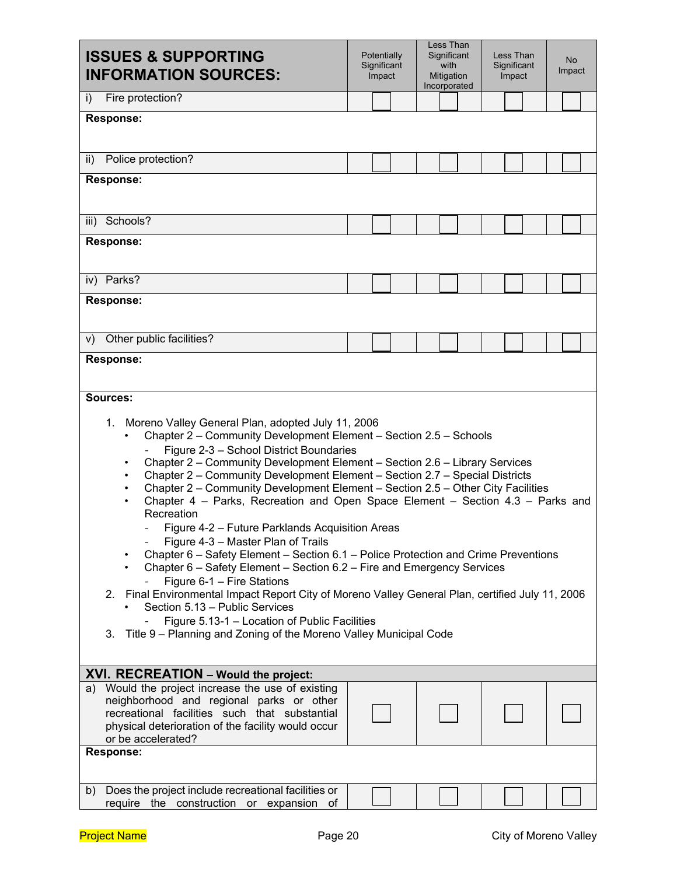| <b>ISSUES &amp; SUPPORTING</b><br><b>INFORMATION SOURCES:</b>                                                                                                                                                                                                                                                                                                                                                                                                                                                                                                                                                                                                                                                                                                                                                                                                                                                                                                                                                                                                                                                                          | Less Than<br>Potentially<br>Significant<br>Less Than<br>No<br>Significant<br>with<br>Significant<br>Impact<br>Mitigation<br>Impact<br>Impact<br>Incorporated |  |  |  |  |  |
|----------------------------------------------------------------------------------------------------------------------------------------------------------------------------------------------------------------------------------------------------------------------------------------------------------------------------------------------------------------------------------------------------------------------------------------------------------------------------------------------------------------------------------------------------------------------------------------------------------------------------------------------------------------------------------------------------------------------------------------------------------------------------------------------------------------------------------------------------------------------------------------------------------------------------------------------------------------------------------------------------------------------------------------------------------------------------------------------------------------------------------------|--------------------------------------------------------------------------------------------------------------------------------------------------------------|--|--|--|--|--|
| Fire protection?<br>i)                                                                                                                                                                                                                                                                                                                                                                                                                                                                                                                                                                                                                                                                                                                                                                                                                                                                                                                                                                                                                                                                                                                 |                                                                                                                                                              |  |  |  |  |  |
| <b>Response:</b>                                                                                                                                                                                                                                                                                                                                                                                                                                                                                                                                                                                                                                                                                                                                                                                                                                                                                                                                                                                                                                                                                                                       |                                                                                                                                                              |  |  |  |  |  |
| Police protection?<br>ii)                                                                                                                                                                                                                                                                                                                                                                                                                                                                                                                                                                                                                                                                                                                                                                                                                                                                                                                                                                                                                                                                                                              |                                                                                                                                                              |  |  |  |  |  |
| Response:                                                                                                                                                                                                                                                                                                                                                                                                                                                                                                                                                                                                                                                                                                                                                                                                                                                                                                                                                                                                                                                                                                                              |                                                                                                                                                              |  |  |  |  |  |
| Schools?<br>iii)                                                                                                                                                                                                                                                                                                                                                                                                                                                                                                                                                                                                                                                                                                                                                                                                                                                                                                                                                                                                                                                                                                                       |                                                                                                                                                              |  |  |  |  |  |
| <b>Response:</b>                                                                                                                                                                                                                                                                                                                                                                                                                                                                                                                                                                                                                                                                                                                                                                                                                                                                                                                                                                                                                                                                                                                       |                                                                                                                                                              |  |  |  |  |  |
| Parks?<br>iv)                                                                                                                                                                                                                                                                                                                                                                                                                                                                                                                                                                                                                                                                                                                                                                                                                                                                                                                                                                                                                                                                                                                          |                                                                                                                                                              |  |  |  |  |  |
| <b>Response:</b>                                                                                                                                                                                                                                                                                                                                                                                                                                                                                                                                                                                                                                                                                                                                                                                                                                                                                                                                                                                                                                                                                                                       |                                                                                                                                                              |  |  |  |  |  |
| Other public facilities?<br>V)                                                                                                                                                                                                                                                                                                                                                                                                                                                                                                                                                                                                                                                                                                                                                                                                                                                                                                                                                                                                                                                                                                         |                                                                                                                                                              |  |  |  |  |  |
| <b>Response:</b>                                                                                                                                                                                                                                                                                                                                                                                                                                                                                                                                                                                                                                                                                                                                                                                                                                                                                                                                                                                                                                                                                                                       |                                                                                                                                                              |  |  |  |  |  |
| Sources:                                                                                                                                                                                                                                                                                                                                                                                                                                                                                                                                                                                                                                                                                                                                                                                                                                                                                                                                                                                                                                                                                                                               |                                                                                                                                                              |  |  |  |  |  |
| Moreno Valley General Plan, adopted July 11, 2006<br>1.<br>Chapter 2 - Community Development Element - Section 2.5 - Schools<br>٠<br>Figure 2-3 - School District Boundaries<br>Chapter 2 - Community Development Element - Section 2.6 - Library Services<br>٠<br>Chapter 2 - Community Development Element - Section 2.7 - Special Districts<br>$\bullet$<br>Chapter 2 - Community Development Element - Section 2.5 - Other City Facilities<br>$\bullet$<br>Chapter 4 – Parks, Recreation and Open Space Element – Section 4.3 – Parks and<br>$\bullet$<br>Recreation<br>Figure 4-2 - Future Parklands Acquisition Areas<br>Figure 4-3 - Master Plan of Trails<br>Chapter 6 – Safety Element – Section 6.1 – Police Protection and Crime Preventions<br>Chapter 6 - Safety Element - Section 6.2 - Fire and Emergency Services<br>٠<br>Figure 6-1 - Fire Stations<br>2. Final Environmental Impact Report City of Moreno Valley General Plan, certified July 11, 2006<br>Section 5.13 - Public Services<br>Figure 5.13-1 - Location of Public Facilities<br>Title 9 - Planning and Zoning of the Moreno Valley Municipal Code<br>3. |                                                                                                                                                              |  |  |  |  |  |
| XVI. RECREATION - Would the project:<br>a) Would the project increase the use of existing                                                                                                                                                                                                                                                                                                                                                                                                                                                                                                                                                                                                                                                                                                                                                                                                                                                                                                                                                                                                                                              |                                                                                                                                                              |  |  |  |  |  |
| neighborhood and regional parks or other<br>recreational facilities such that substantial<br>physical deterioration of the facility would occur<br>or be accelerated?                                                                                                                                                                                                                                                                                                                                                                                                                                                                                                                                                                                                                                                                                                                                                                                                                                                                                                                                                                  |                                                                                                                                                              |  |  |  |  |  |
| <b>Response:</b>                                                                                                                                                                                                                                                                                                                                                                                                                                                                                                                                                                                                                                                                                                                                                                                                                                                                                                                                                                                                                                                                                                                       |                                                                                                                                                              |  |  |  |  |  |
| Does the project include recreational facilities or<br>b)<br>require the construction or expansion of                                                                                                                                                                                                                                                                                                                                                                                                                                                                                                                                                                                                                                                                                                                                                                                                                                                                                                                                                                                                                                  |                                                                                                                                                              |  |  |  |  |  |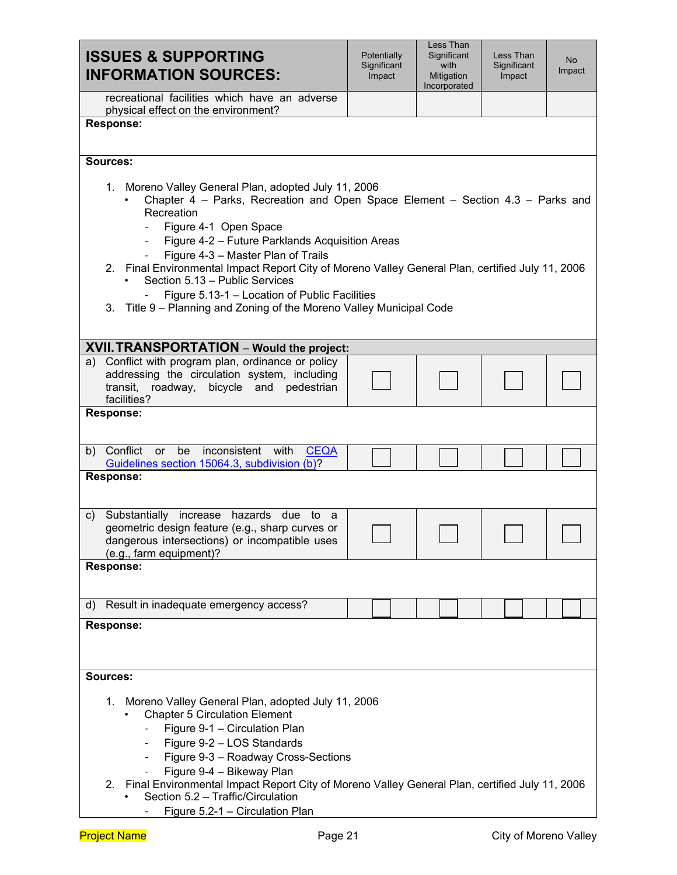| <b>ISSUES &amp; SUPPORTING</b><br><b>INFORMATION SOURCES:</b>                                                                                                                                                                                                                                                                                                                                                                                                                                                                                                               | Potentially<br>Significant<br>Impact | Less Than<br>Significant<br>with<br>Mitigation<br>Incorporated | Less Than<br>Significant<br>Impact | <b>No</b><br>Impact |  |
|-----------------------------------------------------------------------------------------------------------------------------------------------------------------------------------------------------------------------------------------------------------------------------------------------------------------------------------------------------------------------------------------------------------------------------------------------------------------------------------------------------------------------------------------------------------------------------|--------------------------------------|----------------------------------------------------------------|------------------------------------|---------------------|--|
| recreational facilities which have an adverse<br>physical effect on the environment?                                                                                                                                                                                                                                                                                                                                                                                                                                                                                        |                                      |                                                                |                                    |                     |  |
| <b>Response:</b>                                                                                                                                                                                                                                                                                                                                                                                                                                                                                                                                                            |                                      |                                                                |                                    |                     |  |
| Sources:                                                                                                                                                                                                                                                                                                                                                                                                                                                                                                                                                                    |                                      |                                                                |                                    |                     |  |
| 1. Moreno Valley General Plan, adopted July 11, 2006<br>Chapter 4 – Parks, Recreation and Open Space Element – Section 4.3 – Parks and<br>Recreation<br>Figure 4-1 Open Space<br>$\overline{\phantom{a}}$<br>Figure 4-2 - Future Parklands Acquisition Areas<br>$\sim$<br>Figure 4-3 - Master Plan of Trails<br>2. Final Environmental Impact Report City of Moreno Valley General Plan, certified July 11, 2006<br>Section 5.13 - Public Services<br>Figure 5.13-1 - Location of Public Facilities<br>3. Title 9 – Planning and Zoning of the Moreno Valley Municipal Code |                                      |                                                                |                                    |                     |  |
| <b>XVII. TRANSPORTATION</b> – Would the project:                                                                                                                                                                                                                                                                                                                                                                                                                                                                                                                            |                                      |                                                                |                                    |                     |  |
| a) Conflict with program plan, ordinance or policy<br>addressing the circulation system, including<br>roadway, bicycle and<br>pedestrian<br>transit,<br>facilities?                                                                                                                                                                                                                                                                                                                                                                                                         |                                      |                                                                |                                    |                     |  |
| <b>Response:</b>                                                                                                                                                                                                                                                                                                                                                                                                                                                                                                                                                            |                                      |                                                                |                                    |                     |  |
| b) Conflict<br>be inconsistent with<br><b>or</b><br><b>CEQA</b><br>Guidelines section 15064.3, subdivision (b)?                                                                                                                                                                                                                                                                                                                                                                                                                                                             |                                      |                                                                |                                    |                     |  |
| <b>Response:</b>                                                                                                                                                                                                                                                                                                                                                                                                                                                                                                                                                            |                                      |                                                                |                                    |                     |  |
| Substantially increase hazards due to a<br>$\mathsf{C}$<br>geometric design feature (e.g., sharp curves or<br>dangerous intersections) or incompatible uses<br>(e.g., farm equipment)?                                                                                                                                                                                                                                                                                                                                                                                      |                                      |                                                                |                                    |                     |  |
| <b>Response:</b>                                                                                                                                                                                                                                                                                                                                                                                                                                                                                                                                                            |                                      |                                                                |                                    |                     |  |
| Result in inadequate emergency access?<br>d)                                                                                                                                                                                                                                                                                                                                                                                                                                                                                                                                |                                      |                                                                |                                    |                     |  |
| <b>Response:</b>                                                                                                                                                                                                                                                                                                                                                                                                                                                                                                                                                            |                                      |                                                                |                                    |                     |  |
| Sources:                                                                                                                                                                                                                                                                                                                                                                                                                                                                                                                                                                    |                                      |                                                                |                                    |                     |  |
| 1. Moreno Valley General Plan, adopted July 11, 2006<br><b>Chapter 5 Circulation Element</b><br>Figure 9-1 - Circulation Plan<br>Figure 9-2 - LOS Standards<br>Figure 9-3 - Roadway Cross-Sections<br>$\overline{\phantom{a}}$<br>Figure 9-4 - Bikeway Plan<br>2. Final Environmental Impact Report City of Moreno Valley General Plan, certified July 11, 2006<br>Section 5.2 - Traffic/Circulation                                                                                                                                                                        |                                      |                                                                |                                    |                     |  |
| Figure 5.2-1 - Circulation Plan                                                                                                                                                                                                                                                                                                                                                                                                                                                                                                                                             |                                      |                                                                |                                    |                     |  |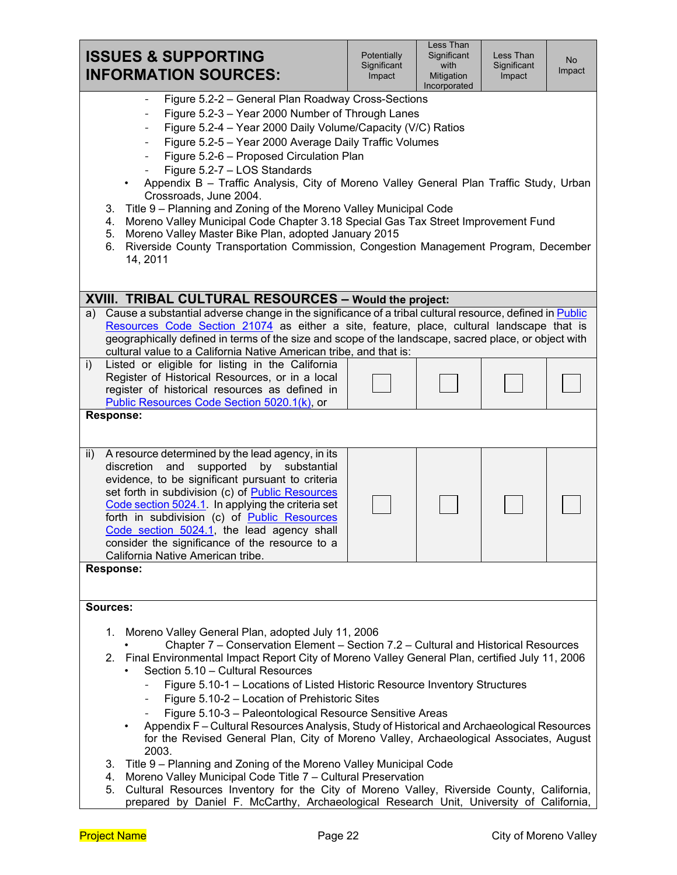| <b>ISSUES &amp; SUPPORTING</b><br><b>INFORMATION SOURCES:</b>                                                                                                                                                                                                                                                                                                                                                                                                                                                                                                                                                                                                                                                                                                                                                                                                                                                                                                                                                                  | Potentially<br>Significant<br>Impact | Less Than<br>Significant<br>with<br>Mitigation<br>Incorporated | Less Than<br>Significant<br>Impact | No<br>Impact |  |
|--------------------------------------------------------------------------------------------------------------------------------------------------------------------------------------------------------------------------------------------------------------------------------------------------------------------------------------------------------------------------------------------------------------------------------------------------------------------------------------------------------------------------------------------------------------------------------------------------------------------------------------------------------------------------------------------------------------------------------------------------------------------------------------------------------------------------------------------------------------------------------------------------------------------------------------------------------------------------------------------------------------------------------|--------------------------------------|----------------------------------------------------------------|------------------------------------|--------------|--|
| Figure 5.2-2 - General Plan Roadway Cross-Sections<br>Figure 5.2-3 - Year 2000 Number of Through Lanes<br>$\overline{\phantom{a}}$<br>Figure 5.2-4 - Year 2000 Daily Volume/Capacity (V/C) Ratios<br>$\overline{\phantom{a}}$<br>Figure 5.2-5 - Year 2000 Average Daily Traffic Volumes<br>Figure 5.2-6 - Proposed Circulation Plan<br>Figure 5.2-7 - LOS Standards<br>Appendix B - Traffic Analysis, City of Moreno Valley General Plan Traffic Study, Urban<br>Crossroads, June 2004.<br>Title 9 - Planning and Zoning of the Moreno Valley Municipal Code<br>3.<br>Moreno Valley Municipal Code Chapter 3.18 Special Gas Tax Street Improvement Fund<br>4.<br>Moreno Valley Master Bike Plan, adopted January 2015<br>5.<br>Riverside County Transportation Commission, Congestion Management Program, December<br>6.<br>14, 2011<br>XVIII. TRIBAL CULTURAL RESOURCES - Would the project:                                                                                                                                  |                                      |                                                                |                                    |              |  |
|                                                                                                                                                                                                                                                                                                                                                                                                                                                                                                                                                                                                                                                                                                                                                                                                                                                                                                                                                                                                                                |                                      |                                                                |                                    |              |  |
| Cause a substantial adverse change in the significance of a tribal cultural resource, defined in Public<br>a)<br>Resources Code Section 21074 as either a site, feature, place, cultural landscape that is<br>geographically defined in terms of the size and scope of the landscape, sacred place, or object with<br>cultural value to a California Native American tribe, and that is:                                                                                                                                                                                                                                                                                                                                                                                                                                                                                                                                                                                                                                       |                                      |                                                                |                                    |              |  |
| Listed or eligible for listing in the California<br>i)<br>Register of Historical Resources, or in a local<br>register of historical resources as defined in<br>Public Resources Code Section 5020.1(k), or                                                                                                                                                                                                                                                                                                                                                                                                                                                                                                                                                                                                                                                                                                                                                                                                                     |                                      |                                                                |                                    |              |  |
| <b>Response:</b>                                                                                                                                                                                                                                                                                                                                                                                                                                                                                                                                                                                                                                                                                                                                                                                                                                                                                                                                                                                                               |                                      |                                                                |                                    |              |  |
| A resource determined by the lead agency, in its<br>ii)<br>discretion<br>and<br>supported by substantial<br>evidence, to be significant pursuant to criteria<br>set forth in subdivision (c) of Public Resources<br>Code section 5024.1. In applying the criteria set<br>forth in subdivision (c) of Public Resources<br>Code section 5024.1, the lead agency shall<br>consider the significance of the resource to a<br>California Native American tribe.<br><b>Response:</b>                                                                                                                                                                                                                                                                                                                                                                                                                                                                                                                                                 |                                      |                                                                |                                    |              |  |
|                                                                                                                                                                                                                                                                                                                                                                                                                                                                                                                                                                                                                                                                                                                                                                                                                                                                                                                                                                                                                                |                                      |                                                                |                                    |              |  |
| Sources:                                                                                                                                                                                                                                                                                                                                                                                                                                                                                                                                                                                                                                                                                                                                                                                                                                                                                                                                                                                                                       |                                      |                                                                |                                    |              |  |
| 1. Moreno Valley General Plan, adopted July 11, 2006<br>Chapter 7 - Conservation Element - Section 7.2 - Cultural and Historical Resources<br>2. Final Environmental Impact Report City of Moreno Valley General Plan, certified July 11, 2006<br>Section 5.10 - Cultural Resources<br>Figure 5.10-1 - Locations of Listed Historic Resource Inventory Structures<br>Figure 5.10-2 - Location of Prehistoric Sites<br>Figure 5.10-3 - Paleontological Resource Sensitive Areas<br>Appendix F - Cultural Resources Analysis, Study of Historical and Archaeological Resources<br>for the Revised General Plan, City of Moreno Valley, Archaeological Associates, August<br>2003.<br>Title 9 – Planning and Zoning of the Moreno Valley Municipal Code<br>3.<br>Moreno Valley Municipal Code Title 7 - Cultural Preservation<br>4.<br>Cultural Resources Inventory for the City of Moreno Valley, Riverside County, California,<br>5.<br>prepared by Daniel F. McCarthy, Archaeological Research Unit, University of California, |                                      |                                                                |                                    |              |  |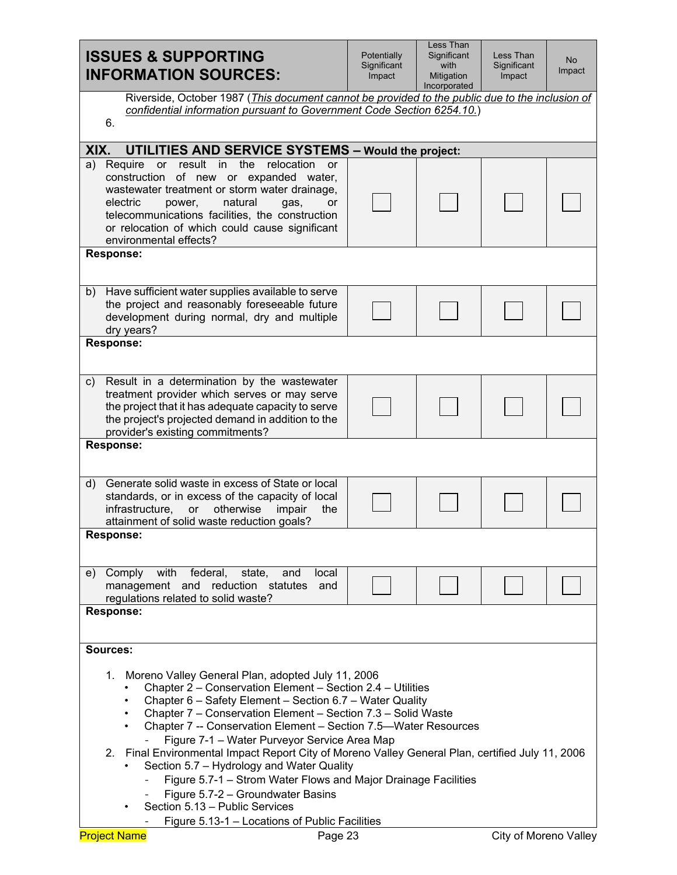| <b>ISSUES &amp; SUPPORTING</b><br><b>INFORMATION SOURCES:</b>                                                                                                                                                                                                                                                                                                                                                                                                                                                                                                                                                                                                                                      | Potentially<br>Significant<br>Impact | Less Than<br>Significant<br>with<br>Mitigation<br>Incorporated | Less Than<br>Significant<br>Impact | No<br>Impact |
|----------------------------------------------------------------------------------------------------------------------------------------------------------------------------------------------------------------------------------------------------------------------------------------------------------------------------------------------------------------------------------------------------------------------------------------------------------------------------------------------------------------------------------------------------------------------------------------------------------------------------------------------------------------------------------------------------|--------------------------------------|----------------------------------------------------------------|------------------------------------|--------------|
| Riverside, October 1987 (This document cannot be provided to the public due to the inclusion of<br>confidential information pursuant to Government Code Section 6254.10.)<br>6.                                                                                                                                                                                                                                                                                                                                                                                                                                                                                                                    |                                      |                                                                |                                    |              |
|                                                                                                                                                                                                                                                                                                                                                                                                                                                                                                                                                                                                                                                                                                    |                                      |                                                                |                                    |              |
| XIX.<br><b>UTILITIES AND SERVICE SYSTEMS - Would the project:</b><br>result in the<br>relocation<br>Require<br><b>or</b><br>a)<br>or                                                                                                                                                                                                                                                                                                                                                                                                                                                                                                                                                               |                                      |                                                                |                                    |              |
| construction of new or expanded water,<br>wastewater treatment or storm water drainage,<br>electric<br>natural<br>power.<br>gas,<br>or<br>telecommunications facilities, the construction<br>or relocation of which could cause significant<br>environmental effects?                                                                                                                                                                                                                                                                                                                                                                                                                              |                                      |                                                                |                                    |              |
| <b>Response:</b>                                                                                                                                                                                                                                                                                                                                                                                                                                                                                                                                                                                                                                                                                   |                                      |                                                                |                                    |              |
| Have sufficient water supplies available to serve<br>b)<br>the project and reasonably foreseeable future<br>development during normal, dry and multiple<br>dry years?                                                                                                                                                                                                                                                                                                                                                                                                                                                                                                                              |                                      |                                                                |                                    |              |
| <b>Response:</b>                                                                                                                                                                                                                                                                                                                                                                                                                                                                                                                                                                                                                                                                                   |                                      |                                                                |                                    |              |
|                                                                                                                                                                                                                                                                                                                                                                                                                                                                                                                                                                                                                                                                                                    |                                      |                                                                |                                    |              |
| Result in a determination by the wastewater<br>C)<br>treatment provider which serves or may serve<br>the project that it has adequate capacity to serve<br>the project's projected demand in addition to the<br>provider's existing commitments?                                                                                                                                                                                                                                                                                                                                                                                                                                                   |                                      |                                                                |                                    |              |
| <b>Response:</b>                                                                                                                                                                                                                                                                                                                                                                                                                                                                                                                                                                                                                                                                                   |                                      |                                                                |                                    |              |
| Generate solid waste in excess of State or local<br>$\mathsf{d}$ )<br>standards, or in excess of the capacity of local<br>infrastructure,<br>otherwise<br>impair<br>or<br>the<br>attainment of solid waste reduction goals?                                                                                                                                                                                                                                                                                                                                                                                                                                                                        |                                      |                                                                |                                    |              |
| <b>Response:</b>                                                                                                                                                                                                                                                                                                                                                                                                                                                                                                                                                                                                                                                                                   |                                      |                                                                |                                    |              |
| with federal,<br>state,<br>Comply<br>and<br>local<br>e)<br>management and reduction statutes<br>and<br>regulations related to solid waste?                                                                                                                                                                                                                                                                                                                                                                                                                                                                                                                                                         |                                      |                                                                |                                    |              |
| <b>Response:</b>                                                                                                                                                                                                                                                                                                                                                                                                                                                                                                                                                                                                                                                                                   |                                      |                                                                |                                    |              |
| Sources:                                                                                                                                                                                                                                                                                                                                                                                                                                                                                                                                                                                                                                                                                           |                                      |                                                                |                                    |              |
| Moreno Valley General Plan, adopted July 11, 2006<br>1.<br>Chapter 2 - Conservation Element - Section 2.4 - Utilities<br>Chapter 6 - Safety Element - Section 6.7 - Water Quality<br>$\bullet$<br>Chapter 7 – Conservation Element – Section 7.3 – Solid Waste<br>٠<br>Chapter 7 -- Conservation Element - Section 7.5-Water Resources<br>٠<br>Figure 7-1 - Water Purveyor Service Area Map<br>2. Final Environmental Impact Report City of Moreno Valley General Plan, certified July 11, 2006<br>Section 5.7 - Hydrology and Water Quality<br>Figure 5.7-1 - Strom Water Flows and Major Drainage Facilities<br>Figure 5.7-2 - Groundwater Basins<br>Section 5.13 - Public Services<br>$\bullet$ |                                      |                                                                |                                    |              |
| Figure 5.13-1 - Locations of Public Facilities<br><b>Project Name</b><br>Page 23                                                                                                                                                                                                                                                                                                                                                                                                                                                                                                                                                                                                                   |                                      |                                                                | <b>City of Moreno Valley</b>       |              |
|                                                                                                                                                                                                                                                                                                                                                                                                                                                                                                                                                                                                                                                                                                    |                                      |                                                                |                                    |              |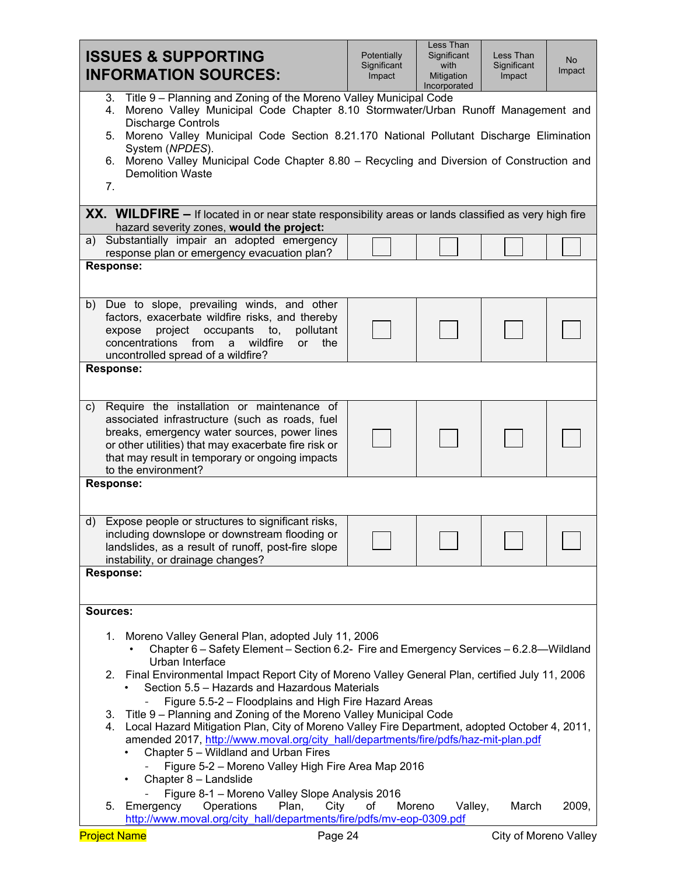| <b>ISSUES &amp; SUPPORTING</b><br><b>INFORMATION SOURCES:</b>                                                                                                                                                                                                                                                                                                                                                                                                                                                                                                                                                                                                                                    | Potentially<br>Significant<br>Impact | Less Than<br>Significant<br>with<br>Mitigation<br>Incorporated | Less Than<br>Significant<br>Impact | No.<br>Impact |  |  |  |  |
|--------------------------------------------------------------------------------------------------------------------------------------------------------------------------------------------------------------------------------------------------------------------------------------------------------------------------------------------------------------------------------------------------------------------------------------------------------------------------------------------------------------------------------------------------------------------------------------------------------------------------------------------------------------------------------------------------|--------------------------------------|----------------------------------------------------------------|------------------------------------|---------------|--|--|--|--|
| Title 9 – Planning and Zoning of the Moreno Valley Municipal Code<br>3.<br>Moreno Valley Municipal Code Chapter 8.10 Stormwater/Urban Runoff Management and<br>4.<br><b>Discharge Controls</b><br>5. Moreno Valley Municipal Code Section 8.21.170 National Pollutant Discharge Elimination<br>System (NPDES).<br>Moreno Valley Municipal Code Chapter 8.80 - Recycling and Diversion of Construction and<br>6.<br><b>Demolition Waste</b><br>7.                                                                                                                                                                                                                                                 |                                      |                                                                |                                    |               |  |  |  |  |
| <b>XX.</b> WILDFIRE $-$ If located in or near state responsibility areas or lands classified as very high fire                                                                                                                                                                                                                                                                                                                                                                                                                                                                                                                                                                                   |                                      |                                                                |                                    |               |  |  |  |  |
| hazard severity zones, would the project:<br>a) Substantially impair an adopted emergency<br>response plan or emergency evacuation plan?<br><b>Response:</b>                                                                                                                                                                                                                                                                                                                                                                                                                                                                                                                                     |                                      |                                                                |                                    |               |  |  |  |  |
| Due to slope, prevailing winds, and other<br>b)<br>factors, exacerbate wildfire risks, and thereby<br>project<br>occupants<br>to,<br>pollutant<br>expose<br>concentrations<br>from<br>wildfire<br>or<br>the<br>a<br>uncontrolled spread of a wildfire?                                                                                                                                                                                                                                                                                                                                                                                                                                           |                                      |                                                                |                                    |               |  |  |  |  |
| <b>Response:</b>                                                                                                                                                                                                                                                                                                                                                                                                                                                                                                                                                                                                                                                                                 |                                      |                                                                |                                    |               |  |  |  |  |
| Require the installation or maintenance of<br>C)<br>associated infrastructure (such as roads, fuel<br>breaks, emergency water sources, power lines<br>or other utilities) that may exacerbate fire risk or<br>that may result in temporary or ongoing impacts<br>to the environment?                                                                                                                                                                                                                                                                                                                                                                                                             |                                      |                                                                |                                    |               |  |  |  |  |
| <b>Response:</b>                                                                                                                                                                                                                                                                                                                                                                                                                                                                                                                                                                                                                                                                                 |                                      |                                                                |                                    |               |  |  |  |  |
| Expose people or structures to significant risks,<br>d)<br>including downslope or downstream flooding or<br>landslides, as a result of runoff, post-fire slope<br>instability, or drainage changes?                                                                                                                                                                                                                                                                                                                                                                                                                                                                                              |                                      |                                                                |                                    |               |  |  |  |  |
| <b>Response:</b>                                                                                                                                                                                                                                                                                                                                                                                                                                                                                                                                                                                                                                                                                 |                                      |                                                                |                                    |               |  |  |  |  |
| <b>Sources:</b>                                                                                                                                                                                                                                                                                                                                                                                                                                                                                                                                                                                                                                                                                  |                                      |                                                                |                                    |               |  |  |  |  |
| Moreno Valley General Plan, adopted July 11, 2006<br>1.<br>Chapter 6 - Safety Element - Section 6.2- Fire and Emergency Services - 6.2.8-Wildland<br>Urban Interface<br>2. Final Environmental Impact Report City of Moreno Valley General Plan, certified July 11, 2006<br>Section 5.5 - Hazards and Hazardous Materials<br>Figure 5.5-2 - Floodplains and High Fire Hazard Areas<br>Title 9 – Planning and Zoning of the Moreno Valley Municipal Code<br>3.<br>4. Local Hazard Mitigation Plan, City of Moreno Valley Fire Department, adopted October 4, 2011,<br>amended 2017, http://www.moval.org/city hall/departments/fire/pdfs/haz-mit-plan.pdf<br>Chapter 5 - Wildland and Urban Fires |                                      |                                                                |                                    |               |  |  |  |  |
| Figure 5-2 - Moreno Valley High Fire Area Map 2016<br>Chapter 8 - Landslide<br>$\bullet$<br>Figure 8-1 - Moreno Valley Slope Analysis 2016<br>5. Emergency<br>Operations<br>Plan,<br>Valley,<br>March<br>2009,<br>City<br>of<br>Moreno<br>http://www.moval.org/city hall/departments/fire/pdfs/mv-eop-0309.pdf                                                                                                                                                                                                                                                                                                                                                                                   |                                      |                                                                |                                    |               |  |  |  |  |
| <b>Project Name</b><br>Page 24                                                                                                                                                                                                                                                                                                                                                                                                                                                                                                                                                                                                                                                                   |                                      |                                                                | City of Moreno Valley              |               |  |  |  |  |